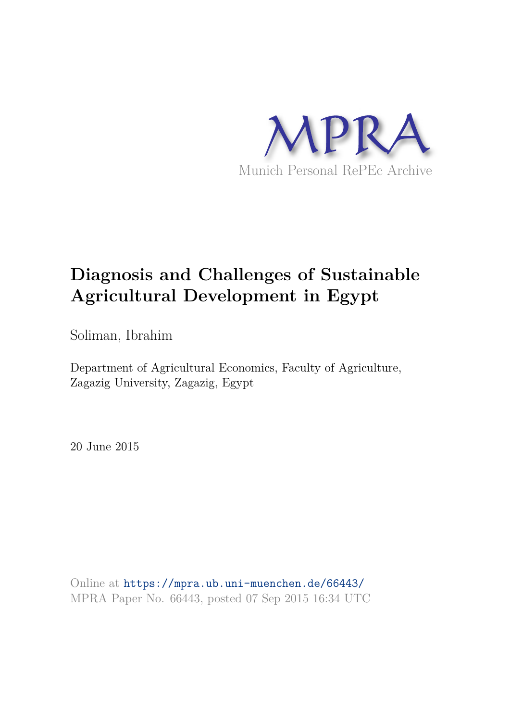

# **Diagnosis and Challenges of Sustainable Agricultural Development in Egypt**

Soliman, Ibrahim

Department of Agricultural Economics, Faculty of Agriculture, Zagazig University, Zagazig, Egypt

20 June 2015

Online at https://mpra.ub.uni-muenchen.de/66443/ MPRA Paper No. 66443, posted 07 Sep 2015 16:34 UTC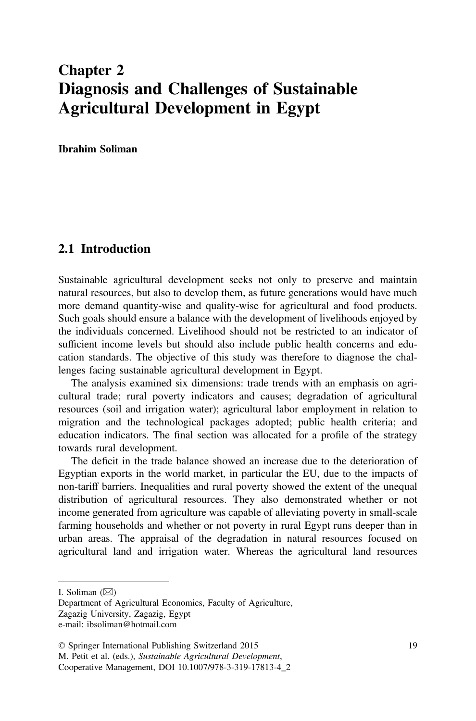## Chapter 2 Diagnosis and Challenges of Sustainable Agricultural Development in Egypt

Ibrahim Soliman

## 2.1 Introduction

Sustainable agricultural development seeks not only to preserve and maintain natural resources, but also to develop them, as future generations would have much more demand quantity-wise and quality-wise for agricultural and food products. Such goals should ensure a balance with the development of livelihoods enjoyed by the individuals concerned. Livelihood should not be restricted to an indicator of sufficient income levels but should also include public health concerns and education standards. The objective of this study was therefore to diagnose the challenges facing sustainable agricultural development in Egypt.

The analysis examined six dimensions: trade trends with an emphasis on agricultural trade; rural poverty indicators and causes; degradation of agricultural resources (soil and irrigation water); agricultural labor employment in relation to migration and the technological packages adopted; public health criteria; and education indicators. The final section was allocated for a profile of the strategy towards rural development.

The deficit in the trade balance showed an increase due to the deterioration of Egyptian exports in the world market, in particular the EU, due to the impacts of non-tariff barriers. Inequalities and rural poverty showed the extent of the unequal distribution of agricultural resources. They also demonstrated whether or not income generated from agriculture was capable of alleviating poverty in small-scale farming households and whether or not poverty in rural Egypt runs deeper than in urban areas. The appraisal of the degradation in natural resources focused on agricultural land and irrigation water. Whereas the agricultural land resources

I. Soliman  $(\boxtimes)$ 

Department of Agricultural Economics, Faculty of Agriculture, Zagazig University, Zagazig, Egypt

e-mail: ibsoliman@hotmail.com

<sup>©</sup> Springer International Publishing Switzerland 2015 M. Petit et al. (eds.), *Sustainable Agricultural Development*, Cooperative Management, DOI 10.1007/978-3-319-17813-4\_2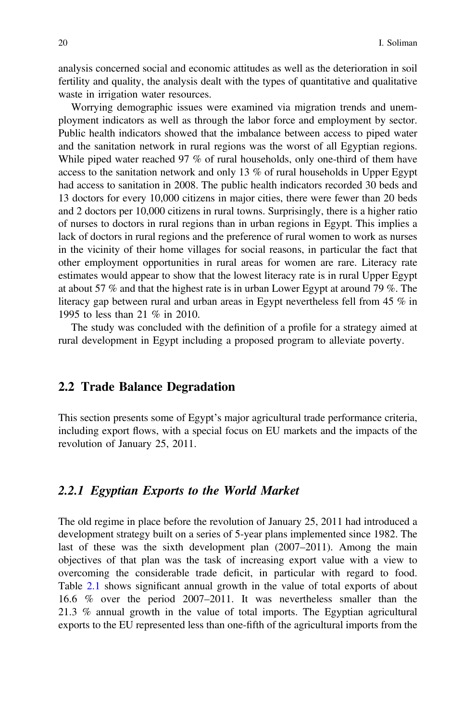analysis concerned social and economic attitudes as well as the deterioration in soil fertility and quality, the analysis dealt with the types of quantitative and qualitative waste in irrigation water resources.

Worrying demographic issues were examined via migration trends and unemployment indicators as well as through the labor force and employment by sector. Public health indicators showed that the imbalance between access to piped water and the sanitation network in rural regions was the worst of all Egyptian regions. While piped water reached 97 % of rural households, only one-third of them have access to the sanitation network and only 13 % of rural households in Upper Egypt had access to sanitation in 2008. The public health indicators recorded 30 beds and 13 doctors for every 10,000 citizens in major cities, there were fewer than 20 beds and 2 doctors per 10,000 citizens in rural towns. Surprisingly, there is a higher ratio of nurses to doctors in rural regions than in urban regions in Egypt. This implies a lack of doctors in rural regions and the preference of rural women to work as nurses in the vicinity of their home villages for social reasons, in particular the fact that other employment opportunities in rural areas for women are rare. Literacy rate estimates would appear to show that the lowest literacy rate is in rural Upper Egypt at about 57 % and that the highest rate is in urban Lower Egypt at around 79 %. The literacy gap between rural and urban areas in Egypt nevertheless fell from 45 % in 1995 to less than 21 % in 2010.

The study was concluded with the definition of a profile for a strategy aimed at rural development in Egypt including a proposed program to alleviate poverty.

## 2.2 Trade Balance Degradation

This section presents some of Egypt's major agricultural trade performance criteria, including export flows, with a special focus on EU markets and the impacts of the revolution of January 25, 2011.

#### 2.2.1 Egyptian Exports to the World Market

The old regime in place before the revolution of January 25, 2011 had introduced a development strategy built on a series of 5-year plans implemented since 1982. The last of these was the sixth development plan (2007–2011). Among the main objectives of that plan was the task of increasing export value with a view to overcoming the considerable trade deficit, in particular with regard to food. Table [2.1](#page-3-0) shows significant annual growth in the value of total exports of about 16.6 % over the period 2007–2011. It was nevertheless smaller than the 21.3 % annual growth in the value of total imports. The Egyptian agricultural exports to the EU represented less than one-fifth of the agricultural imports from the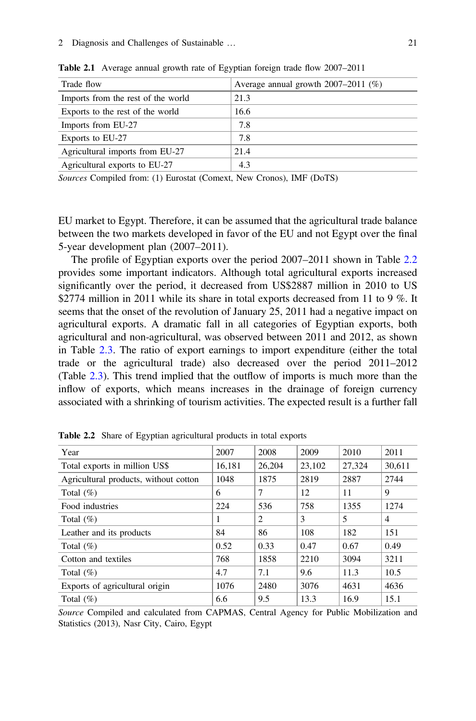| Trade flow                         | Average annual growth $2007-2011$ (%) |
|------------------------------------|---------------------------------------|
| Imports from the rest of the world | 21.3                                  |
| Exports to the rest of the world   | 16.6                                  |
| Imports from EU-27                 | 7.8                                   |
| Exports to EU-27                   | 7.8                                   |
| Agricultural imports from EU-27    | 21.4                                  |
| Agricultural exports to EU-27      | 4.3                                   |

<span id="page-3-0"></span>Table 2.1 Average annual growth rate of Egyptian foreign trade flow 2007–2011

*Sources* Compiled from: (1) Eurostat (Comext, New Cronos), IMF (DoTS)

EU market to Egypt. Therefore, it can be assumed that the agricultural trade balance between the two markets developed in favor of the EU and not Egypt over the final 5-year development plan (2007–2011).

The profile of Egyptian exports over the period 2007–2011 shown in Table 2.2 provides some important indicators. Although total agricultural exports increased significantly over the period, it decreased from US\$2887 million in 2010 to US \$2774 million in 2011 while its share in total exports decreased from 11 to 9 %. It seems that the onset of the revolution of January 25, 2011 had a negative impact on agricultural exports. A dramatic fall in all categories of Egyptian exports, both agricultural and non-agricultural, was observed between 2011 and 2012, as shown in Table [2.3](#page-4-0). The ratio of export earnings to import expenditure (either the total trade or the agricultural trade) also decreased over the period 2011–2012 (Table [2.3](#page-4-0)). This trend implied that the outflow of imports is much more than the inflow of exports, which means increases in the drainage of foreign currency associated with a shrinking of tourism activities. The expected result is a further fall

| Year                                  | 2007   | 2008   | 2009   | 2010   | 2011           |
|---------------------------------------|--------|--------|--------|--------|----------------|
| Total exports in million US\$         | 16,181 | 26.204 | 23,102 | 27.324 | 30,611         |
| Agricultural products, without cotton | 1048   | 1875   | 2819   | 2887   | 2744           |
| Total $(\%)$                          | 6      | 7      | 12     | 11     | 9              |
| Food industries                       | 224    | 536    | 758    | 1355   | 1274           |
| Total $(\% )$                         | 1      | 2      | 3      | 5      | $\overline{4}$ |
| Leather and its products              | 84     | 86     | 108    | 182    | 151            |
| Total $(\% )$                         | 0.52   | 0.33   | 0.47   | 0.67   | 0.49           |
| Cotton and textiles                   | 768    | 1858   | 2210   | 3094   | 3211           |
| Total $(\%)$                          | 4.7    | 7.1    | 9.6    | 11.3   | 10.5           |
| Exports of agricultural origin        | 1076   | 2480   | 3076   | 4631   | 4636           |
| Total $(\%)$                          | 6.6    | 9.5    | 13.3   | 16.9   | 15.1           |

Table 2.2 Share of Egyptian agricultural products in total exports

*Source* Compiled and calculated from CAPMAS, Central Agency for Public Mobilization and Statistics (2013), Nasr City, Cairo, Egypt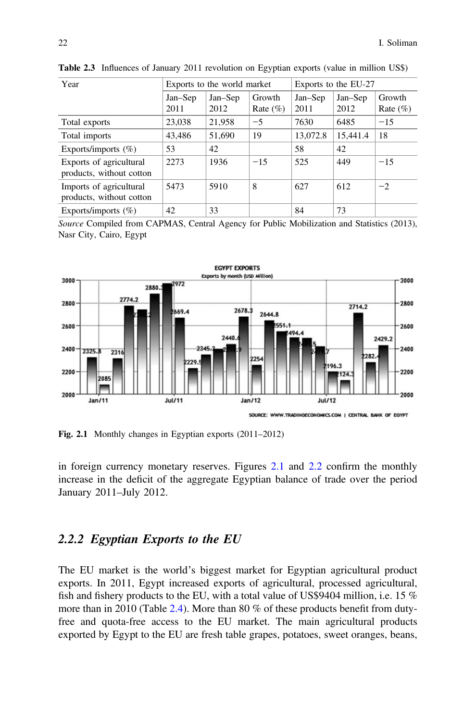| Year                                                |                 | Exports to the world market |                        | Exports to the EU-27 |                 |                       |  |
|-----------------------------------------------------|-----------------|-----------------------------|------------------------|----------------------|-----------------|-----------------------|--|
|                                                     | Jan-Sep<br>2011 | Jan-Sep<br>2012             | Growth<br>Rate $(\% )$ | Jan-Sep<br>2011      | Jan-Sep<br>2012 | Growth<br>Rate $(\%)$ |  |
| Total exports                                       | 23,038          | 21,958                      | $-5$                   | 7630                 | 6485            | $-15$                 |  |
| Total imports                                       | 43,486          | 51,690                      | 19                     | 13,072.8             | 15,441.4        | 18                    |  |
| Exports/imports $(\%)$                              | 53              | 42                          |                        | 58                   | 42              |                       |  |
| Exports of agricultural<br>products, without cotton | 2273            | 1936                        | $-15$                  | 525                  | 449             | $-1.5$                |  |
| Imports of agricultural<br>products, without cotton | 5473            | 5910                        | 8                      | 627                  | 612             | $-2$                  |  |
| Exports/imports $(\%)$                              | 42              | 33                          |                        | 84                   | 73              |                       |  |

<span id="page-4-0"></span>Table 2.3 Influences of January 2011 revolution on Egyptian exports (value in million US\$)

*Source* Compiled from CAPMAS, Central Agency for Public Mobilization and Statistics (2013), Nasr City, Cairo, Egypt



Fig. 2.1 Monthly changes in Egyptian exports (2011–2012)

in foreign currency monetary reserves. Figures 2.1 and [2.2](#page-5-0) confirm the monthly increase in the deficit of the aggregate Egyptian balance of trade over the period January 2011–July 2012.

## 2.2.2 Egyptian Exports to the EU

The EU market is the world's biggest market for Egyptian agricultural product exports. In 2011, Egypt increased exports of agricultural, processed agricultural, fish and fishery products to the EU, with a total value of US\$9404 million, i.e. 15 % more than in 2010 (Table [2.4](#page-6-0)). More than 80 % of these products benefit from dutyfree and quota-free access to the EU market. The main agricultural products exported by Egypt to the EU are fresh table grapes, potatoes, sweet oranges, beans,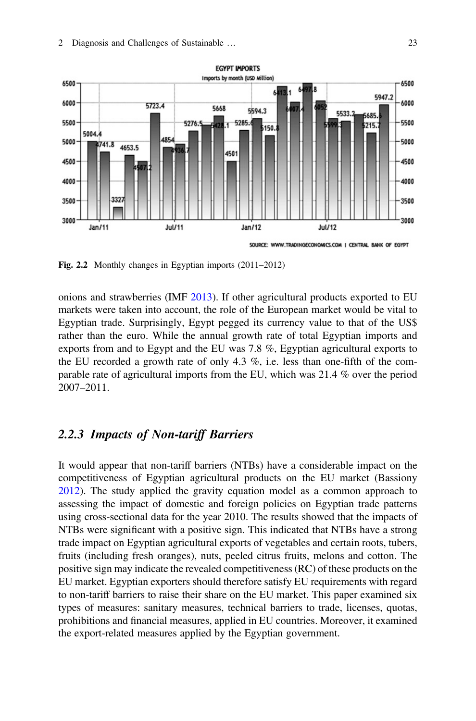<span id="page-5-0"></span>

Fig. 2.2 Monthly changes in Egyptian imports (2011–2012)

onions and strawberries (IMF [2013](#page-44-0)). If other agricultural products exported to EU markets were taken into account, the role of the European market would be vital to Egyptian trade. Surprisingly, Egypt pegged its currency value to that of the US\$ rather than the euro. While the annual growth rate of total Egyptian imports and exports from and to Egypt and the EU was 7.8 %, Egyptian agricultural exports to the EU recorded a growth rate of only 4.3  $\%$ , i.e. less than one-fifth of the comparable rate of agricultural imports from the EU, which was 21.4 % over the period 2007–2011.

#### 2.2.3 Impacts of Non-tariff Barriers

It would appear that non-tariff barriers (NTBs) have a considerable impact on the competitiveness of Egyptian agricultural products on the EU market (Bassiony [2012\)](#page-43-0). The study applied the gravity equation model as a common approach to assessing the impact of domestic and foreign policies on Egyptian trade patterns using cross-sectional data for the year 2010. The results showed that the impacts of NTBs were significant with a positive sign. This indicated that NTBs have a strong trade impact on Egyptian agricultural exports of vegetables and certain roots, tubers, fruits (including fresh oranges), nuts, peeled citrus fruits, melons and cotton. The positive sign may indicate the revealed competitiveness (RC) of these products on the EU market. Egyptian exporters should therefore satisfy EU requirements with regard to non-tariff barriers to raise their share on the EU market. This paper examined six types of measures: sanitary measures, technical barriers to trade, licenses, quotas, prohibitions and financial measures, applied in EU countries. Moreover, it examined the export-related measures applied by the Egyptian government.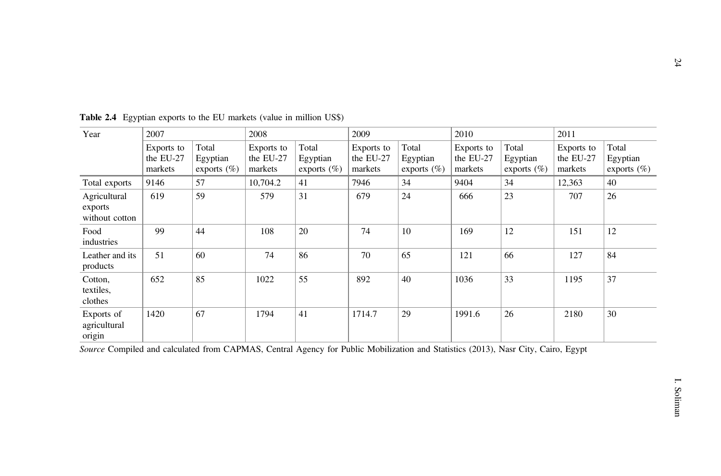| Year                                      | 2007                               |                                      | 2008                               |                                     | 2009                               |                                     | 2010                               |                                     | 2011                               |                                     |
|-------------------------------------------|------------------------------------|--------------------------------------|------------------------------------|-------------------------------------|------------------------------------|-------------------------------------|------------------------------------|-------------------------------------|------------------------------------|-------------------------------------|
|                                           | Exports to<br>the EU-27<br>markets | Total<br>Egyptian<br>exports $(\% )$ | Exports to<br>the EU-27<br>markets | Total<br>Egyptian<br>exports $(\%)$ | Exports to<br>the EU-27<br>markets | Total<br>Egyptian<br>exports $(\%)$ | Exports to<br>the EU-27<br>markets | Total<br>Egyptian<br>exports $(\%)$ | Exports to<br>the EU-27<br>markets | Total<br>Egyptian<br>exports $(\%)$ |
| Total exports                             | 9146                               | 57                                   | 10,704.2                           | 41                                  | 7946                               | 34                                  | 9404                               | 34                                  | 12,363                             | 40                                  |
| Agricultural<br>exports<br>without cotton | 619                                | 59                                   | 579                                | 31                                  | 679                                | 24                                  | 666                                | 23                                  | 707                                | 26                                  |
| Food<br>industries                        | 99                                 | 44                                   | 108                                | 20                                  | 74                                 | 10                                  | 169                                | 12                                  | 151                                | 12                                  |
| Leather and its<br>products               | 51                                 | 60                                   | 74                                 | 86                                  | 70                                 | 65                                  | 121                                | 66                                  | 127                                | 84                                  |
| Cotton.<br>textiles.<br>clothes           | 652                                | 85                                   | 1022                               | 55                                  | 892                                | 40                                  | 1036                               | 33                                  | 1195                               | 37                                  |
| Exports of<br>agricultural<br>origin      | 1420                               | 67                                   | 1794                               | 41                                  | 1714.7                             | 29                                  | 1991.6                             | 26                                  | 2180                               | 30                                  |

<span id="page-6-0"></span>Table 2.4 Egyptian exports to the EU markets (value in million US\$)

*Source* Compiled and calculated from CAPMAS, Central Agency for Public Mobilization and Statistics (2013), Nasr City, Cairo, Egypt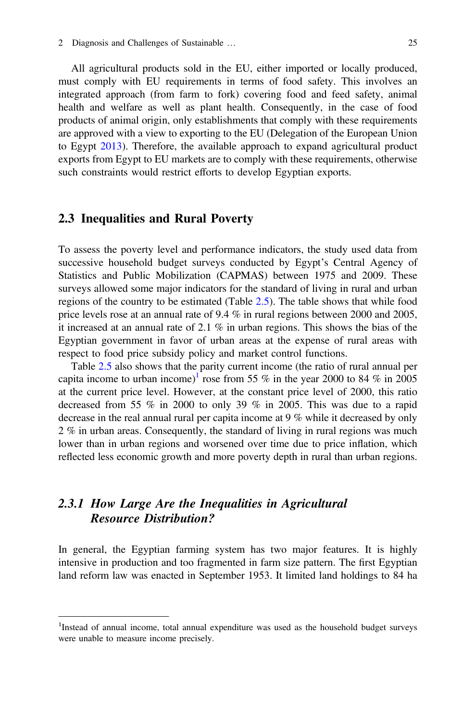All agricultural products sold in the EU, either imported or locally produced, must comply with EU requirements in terms of food safety. This involves an integrated approach (from farm to fork) covering food and feed safety, animal health and welfare as well as plant health. Consequently, in the case of food products of animal origin, only establishments that comply with these requirements are approved with a view to exporting to the EU (Delegation of the European Union to Egypt [2013\)](#page-44-0). Therefore, the available approach to expand agricultural product exports from Egypt to EU markets are to comply with these requirements, otherwise such constraints would restrict efforts to develop Egyptian exports.

#### 2.3 Inequalities and Rural Poverty

To assess the poverty level and performance indicators, the study used data from successive household budget surveys conducted by Egypt's Central Agency of Statistics and Public Mobilization (CAPMAS) between 1975 and 2009. These surveys allowed some major indicators for the standard of living in rural and urban regions of the country to be estimated (Table [2.5\)](#page-8-0). The table shows that while food price levels rose at an annual rate of 9.4 % in rural regions between 2000 and 2005, it increased at an annual rate of 2.1 % in urban regions. This shows the bias of the Egyptian government in favor of urban areas at the expense of rural areas with respect to food price subsidy policy and market control functions.

Table [2.5](#page-8-0) also shows that the parity current income (the ratio of rural annual per capita income to urban income)<sup>1</sup> rose from 55 % in the year 2000 to 84 % in 2005 at the current price level. However, at the constant price level of 2000, this ratio decreased from 55 % in 2000 to only 39 % in 2005. This was due to a rapid decrease in the real annual rural per capita income at 9 % while it decreased by only 2 % in urban areas. Consequently, the standard of living in rural regions was much lower than in urban regions and worsened over time due to price inflation, which reflected less economic growth and more poverty depth in rural than urban regions.

## 2.3.1 How Large Are the Inequalities in Agricultural Resource Distribution?

In general, the Egyptian farming system has two major features. It is highly intensive in production and too fragmented in farm size pattern. The first Egyptian land reform law was enacted in September 1953. It limited land holdings to 84 ha

<sup>&</sup>lt;sup>1</sup>Instead of annual income, total annual expenditure was used as the household budget surveys were unable to measure income precisely.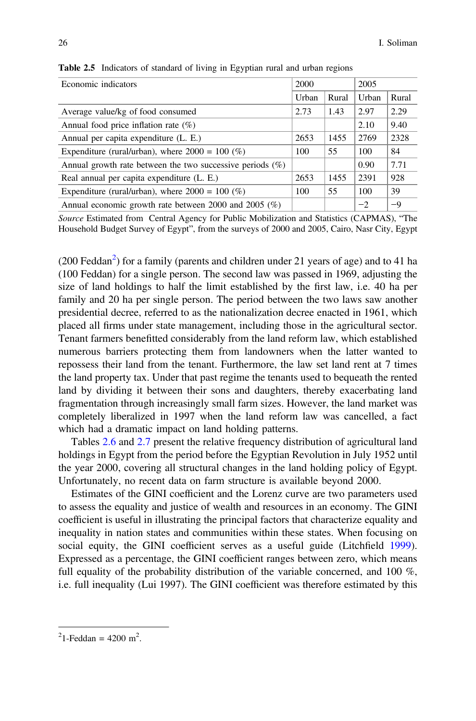| Economic indicators                                          | 2000  |       |       |       |
|--------------------------------------------------------------|-------|-------|-------|-------|
|                                                              | Urban | Rural | Urban | Rural |
| Average value/kg of food consumed                            | 2.73  | 1.43  | 2.97  | 2.29  |
| Annual food price inflation rate $(\%)$                      |       |       | 2.10  | 9.40  |
| Annual per capita expenditure (L. E.)                        | 2653  | 1455  | 2769  | 2328  |
| Expenditure (rural/urban), where $2000 = 100$ (%)            | 100   | 55    | 100   | 84    |
| Annual growth rate between the two successive periods $(\%)$ |       |       | 0.90  | 7.71  |
| Real annual per capita expenditure (L. E.)                   | 2653  | 1455  | 2391  | 928   |
| Expenditure (rural/urban), where $2000 = 100$ (%)            | 100   | 55    | 100   | 39    |
| Annual economic growth rate between 2000 and 2005 (%)        |       |       | $-2$  | $-9$  |
|                                                              |       |       |       |       |

<span id="page-8-0"></span>Table 2.5 Indicators of standard of living in Egyptian rural and urban regions

*Source* Estimated from Central Agency for Public Mobilization and Statistics (CAPMAS), "The Household Budget Survey of Egypt", from the surveys of 2000 and 2005, Cairo, Nasr City, Egypt

 $(200 \text{ Feddan}^2)$  for a family (parents and children under 21 years of age) and to 41 ha (100 Feddan) for a single person. The second law was passed in 1969, adjusting the size of land holdings to half the limit established by the first law, i.e. 40 ha per family and 20 ha per single person. The period between the two laws saw another presidential decree, referred to as the nationalization decree enacted in 1961, which placed all firms under state management, including those in the agricultural sector. Tenant farmers benefitted considerably from the land reform law, which established numerous barriers protecting them from landowners when the latter wanted to repossess their land from the tenant. Furthermore, the law set land rent at 7 times the land property tax. Under that past regime the tenants used to bequeath the rented land by dividing it between their sons and daughters, thereby exacerbating land fragmentation through increasingly small farm sizes. However, the land market was completely liberalized in 1997 when the land reform law was cancelled, a fact which had a dramatic impact on land holding patterns.

Tables [2.6](#page-9-0) and [2.7](#page-9-0) present the relative frequency distribution of agricultural land holdings in Egypt from the period before the Egyptian Revolution in July 1952 until the year 2000, covering all structural changes in the land holding policy of Egypt. Unfortunately, no recent data on farm structure is available beyond 2000.

Estimates of the GINI coefficient and the Lorenz curve are two parameters used to assess the equality and justice of wealth and resources in an economy. The GINI coefficient is useful in illustrating the principal factors that characterize equality and inequality in nation states and communities within these states. When focusing on social equity, the GINI coefficient serves as a useful guide (Litchfield [1999\)](#page-44-0). Expressed as a percentage, the GINI coefficient ranges between zero, which means full equality of the probability distribution of the variable concerned, and 100 %, i.e. full inequality (Lui 1997). The GINI coefficient was therefore estimated by this

 $^{2}$ 1-Feddan = 4200 m<sup>2</sup>.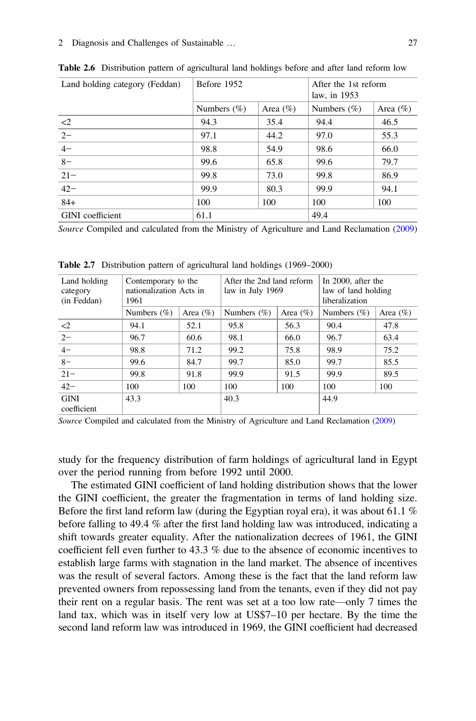| Land holding category (Feddan) | Before 1952    |             | After the 1st reform<br>law, in 1953 |             |  |
|--------------------------------|----------------|-------------|--------------------------------------|-------------|--|
|                                | Numbers $(\%)$ | Area $(\%)$ | Numbers $(\%)$                       | Area $(\%)$ |  |
| $\langle 2 \rangle$            | 94.3           | 35.4        | 94.4                                 | 46.5        |  |
| $\frac{1}{2}$                  | 97.1           | 44.2        | 97.0                                 | 55.3        |  |
|                                | 98.8           | 54.9        | 98.6                                 | 66.0        |  |
| $\frac{4-}{8-}$                | 99.6           | 65.8        | 99.6                                 | 79.7        |  |
| $\overline{21}$                | 99.8           | 73.0        | 99.8                                 | 86.9        |  |
| $\frac{1}{42}$                 | 99.9           | 80.3        | 99.9                                 | 94.1        |  |
| $84+$                          | 100            | 100         | 100                                  | 100         |  |
| <b>GINI</b> coefficient        | 61.1           |             | 49.4                                 |             |  |

<span id="page-9-0"></span>Table 2.6 Distribution pattern of agricultural land holdings before and after land reform low

*Source* Compiled and calculated from the Ministry of Agriculture and Land Reclamation ([2009\)](#page-45-0)

| Land holding<br>category<br>(in Feddan) | Contemporary to the<br>nationalization Acts in<br>1961 |              | After the 2nd land reform<br>law in July 1969 |              | In 2000, after the<br>law of land holding<br>liberalization |              |
|-----------------------------------------|--------------------------------------------------------|--------------|-----------------------------------------------|--------------|-------------------------------------------------------------|--------------|
|                                         | Numbers $(\%)$                                         | Area $(\% )$ | Numbers $(\% )$                               | Area $(\% )$ | Numbers $(\% )$                                             | Area $(\% )$ |
| $\langle 2 \rangle$                     | 94.1                                                   | 52.1         | 95.8                                          | 56.3         | 90.4                                                        | 47.8         |
| $2 -$                                   | 96.7                                                   | 60.6         | 98.1                                          | 66.0         | 96.7                                                        | 63.4         |
| $4-$                                    | 98.8                                                   | 71.2         | 99.2                                          | 75.8         | 98.9                                                        | 75.2         |
| $8-$                                    | 99.6                                                   | 84.7         | 99.7                                          | 85.0         | 99.7                                                        | 85.5         |
| $21 -$                                  | 99.8                                                   | 91.8         | 99.9                                          | 91.5         | 99.9                                                        | 89.5         |
| $42 -$                                  | 100                                                    | 100          | 100                                           | 100          | 100                                                         | 100          |
| <b>GINI</b><br>coefficient              | 43.3                                                   |              | 40.3                                          |              | 44.9                                                        |              |

Table 2.7 Distribution pattern of agricultural land holdings (1969–2000)

*Source* Compiled and calculated from the Ministry of Agriculture and Land Reclamation ([2009](#page-45-0))

study for the frequency distribution of farm holdings of agricultural land in Egypt over the period running from before 1992 until 2000.

The estimated GINI coefficient of land holding distribution shows that the lower the GINI coefficient, the greater the fragmentation in terms of land holding size. Before the first land reform law (during the Egyptian royal era), it was about 61.1 % before falling to 49.4 % after the first land holding law was introduced, indicating a shift towards greater equality. After the nationalization decrees of 1961, the GINI coefficient fell even further to 43.3 % due to the absence of economic incentives to establish large farms with stagnation in the land market. The absence of incentives was the result of several factors. Among these is the fact that the land reform law prevented owners from repossessing land from the tenants, even if they did not pay their rent on a regular basis. The rent was set at a too low rate—only 7 times the land tax, which was in itself very low at US\$7–10 per hectare. By the time the second land reform law was introduced in 1969, the GINI coefficient had decreased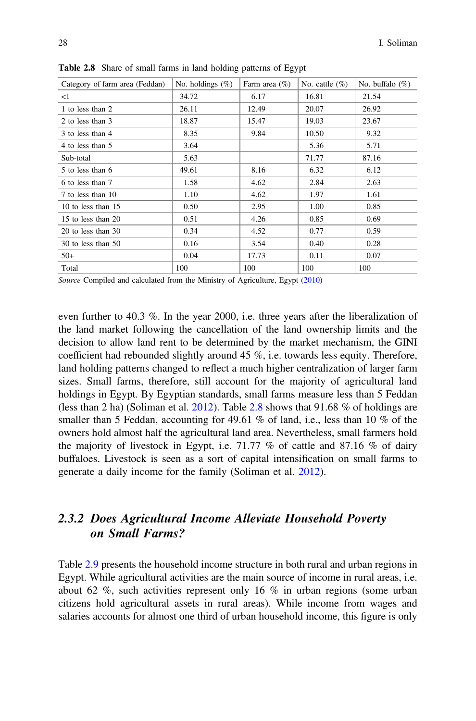| Category of farm area (Feddan) | No. holdings $(\%)$ | Farm area $(\% )$ | No. cattle $(\%)$ | No. buffalo $(\%)$ |
|--------------------------------|---------------------|-------------------|-------------------|--------------------|
| <1                             | 34.72               | 6.17              | 16.81             | 21.54              |
| 1 to less than 2               | 26.11               | 12.49             | 20.07             | 26.92              |
| 2 to less than 3               | 18.87               | 15.47             | 19.03             | 23.67              |
| 3 to less than 4               | 8.35                | 9.84              | 10.50             | 9.32               |
| 4 to less than 5               | 3.64                |                   | 5.36              | 5.71               |
| Sub-total                      | 5.63                |                   | 71.77             | 87.16              |
| 5 to less than 6               | 49.61               | 8.16              | 6.32              | 6.12               |
| 6 to less than 7               | 1.58                | 4.62              | 2.84              | 2.63               |
| 7 to less than 10              | 1.10                | 4.62              | 1.97              | 1.61               |
| 10 to less than $15$           | 0.50                | 2.95              | 1.00              | 0.85               |
| 15 to less than 20             | 0.51                | 4.26              | 0.85              | 0.69               |
| 20 to less than 30             | 0.34                | 4.52              | 0.77              | 0.59               |
| 30 to less than 50             | 0.16                | 3.54              | 0.40              | 0.28               |
| $50+$                          | 0.04                | 17.73             | 0.11              | 0.07               |
| Total                          | 100                 | 100               | 100               | 100                |

<span id="page-10-0"></span>Table 2.8 Share of small farms in land holding patterns of Egypt

Source Compiled and calculated from the Ministry of Agriculture, Egypt [\(2010](#page-45-0))

even further to 40.3 %. In the year 2000, i.e. three years after the liberalization of the land market following the cancellation of the land ownership limits and the decision to allow land rent to be determined by the market mechanism, the GINI coefficient had rebounded slightly around 45 %, i.e. towards less equity. Therefore, land holding patterns changed to reflect a much higher centralization of larger farm sizes. Small farms, therefore, still account for the majority of agricultural land holdings in Egypt. By Egyptian standards, small farms measure less than 5 Feddan (less than 2 ha) (Soliman et al. [2012](#page-45-0)). Table 2.8 shows that 91.68 % of holdings are smaller than 5 Feddan, accounting for 49.61 % of land, i.e., less than 10 % of the owners hold almost half the agricultural land area. Nevertheless, small farmers hold the majority of livestock in Egypt, i.e.  $71.77\%$  of cattle and 87.16 % of dairy buffaloes. Livestock is seen as a sort of capital intensification on small farms to generate a daily income for the family (Soliman et al. [2012\)](#page-45-0).

## 2.3.2 Does Agricultural Income Alleviate Household Poverty on Small Farms?

Table [2.9](#page-11-0) presents the household income structure in both rural and urban regions in Egypt. While agricultural activities are the main source of income in rural areas, i.e. about 62 %, such activities represent only 16 % in urban regions (some urban citizens hold agricultural assets in rural areas). While income from wages and salaries accounts for almost one third of urban household income, this figure is only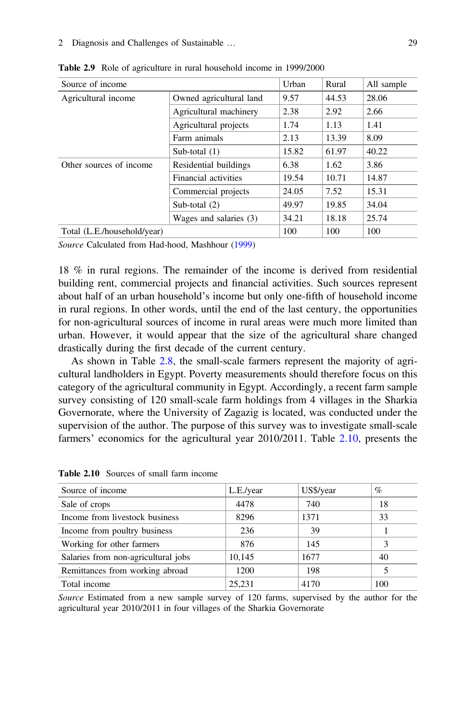| Source of income            |                         | Urban | Rural | All sample |
|-----------------------------|-------------------------|-------|-------|------------|
| Agricultural income         | Owned agricultural land | 9.57  | 44.53 | 28.06      |
|                             | Agricultural machinery  | 2.38  | 2.92  | 2.66       |
|                             | Agricultural projects   | 1.74  | 1.13  | 1.41       |
|                             | Farm animals            | 2.13  | 13.39 | 8.09       |
|                             | Sub-total $(1)$         | 15.82 | 61.97 | 40.22      |
| Other sources of income     | Residential buildings   | 6.38  | 1.62  | 3.86       |
|                             | Financial activities    | 19.54 | 10.71 | 14.87      |
|                             | Commercial projects     | 24.05 | 7.52  | 15.31      |
|                             | Sub-total $(2)$         | 49.97 | 19.85 | 34.04      |
|                             | Wages and salaries (3)  | 34.21 | 18.18 | 25.74      |
| Total (L.E./household/year) |                         | 100   | 100   | 100        |

<span id="page-11-0"></span>Table 2.9 Role of agriculture in rural household income in 1999/2000

*Source* Calculated from Had-hood, Mashhour [\(1999](#page-44-0))

18 % in rural regions. The remainder of the income is derived from residential building rent, commercial projects and financial activities. Such sources represent about half of an urban household's income but only one-fifth of household income in rural regions. In other words, until the end of the last century, the opportunities for non-agricultural sources of income in rural areas were much more limited than urban. However, it would appear that the size of the agricultural share changed drastically during the first decade of the current century.

As shown in Table [2.8,](#page-10-0) the small-scale farmers represent the majority of agricultural landholders in Egypt. Poverty measurements should therefore focus on this category of the agricultural community in Egypt. Accordingly, a recent farm sample survey consisting of 120 small-scale farm holdings from 4 villages in the Sharkia Governorate, where the University of Zagazig is located, was conducted under the supervision of the author. The purpose of this survey was to investigate small-scale farmers' economics for the agricultural year 2010/2011. Table 2.10, presents the

| Source of income                    | L.E./year | US\$/year | $\%$ |
|-------------------------------------|-----------|-----------|------|
| Sale of crops                       | 4478      | 740       | 18   |
| Income from livestock business      | 8296      | 1371      | 33   |
| Income from poultry business        | 236       | 39        |      |
| Working for other farmers           | 876       | 145       | 3    |
| Salaries from non-agricultural jobs | 10,145    | 1677      | 40   |
| Remittances from working abroad     | 1200      | 198       |      |
| Total income                        | 25,231    | 4170      | 100  |

Table 2.10 Sources of small farm income

*Source* Estimated from a new sample survey of 120 farms, supervised by the author for the agricultural year 2010/2011 in four villages of the Sharkia Governorate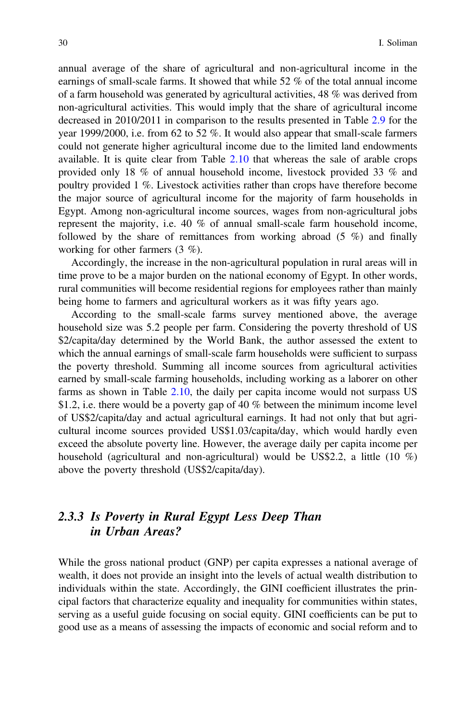annual average of the share of agricultural and non-agricultural income in the earnings of small-scale farms. It showed that while 52 % of the total annual income of a farm household was generated by agricultural activities, 48 % was derived from non-agricultural activities. This would imply that the share of agricultural income decreased in 2010/2011 in comparison to the results presented in Table [2.9](#page-11-0) for the year 1999/2000, i.e. from 62 to 52 %. It would also appear that small-scale farmers could not generate higher agricultural income due to the limited land endowments available. It is quite clear from Table [2.10](#page-11-0) that whereas the sale of arable crops provided only 18 % of annual household income, livestock provided 33 % and poultry provided 1 %. Livestock activities rather than crops have therefore become the major source of agricultural income for the majority of farm households in Egypt. Among non-agricultural income sources, wages from non-agricultural jobs represent the majority, i.e. 40 % of annual small-scale farm household income, followed by the share of remittances from working abroad (5 %) and finally working for other farmers (3 %).

Accordingly, the increase in the non-agricultural population in rural areas will in time prove to be a major burden on the national economy of Egypt. In other words, rural communities will become residential regions for employees rather than mainly being home to farmers and agricultural workers as it was fifty years ago.

According to the small-scale farms survey mentioned above, the average household size was 5.2 people per farm. Considering the poverty threshold of US \$2/capita/day determined by the World Bank, the author assessed the extent to which the annual earnings of small-scale farm households were sufficient to surpass the poverty threshold. Summing all income sources from agricultural activities earned by small-scale farming households, including working as a laborer on other farms as shown in Table [2.10](#page-11-0), the daily per capita income would not surpass US \$1.2, i.e. there would be a poverty gap of 40 % between the minimum income level of US\$2/capita/day and actual agricultural earnings. It had not only that but agricultural income sources provided US\$1.03/capita/day, which would hardly even exceed the absolute poverty line. However, the average daily per capita income per household (agricultural and non-agricultural) would be US\$2.2, a little (10 %) above the poverty threshold (US\$2/capita/day).

## 2.3.3 Is Poverty in Rural Egypt Less Deep Than in Urban Areas?

While the gross national product (GNP) per capita expresses a national average of wealth, it does not provide an insight into the levels of actual wealth distribution to individuals within the state. Accordingly, the GINI coefficient illustrates the principal factors that characterize equality and inequality for communities within states, serving as a useful guide focusing on social equity. GINI coefficients can be put to good use as a means of assessing the impacts of economic and social reform and to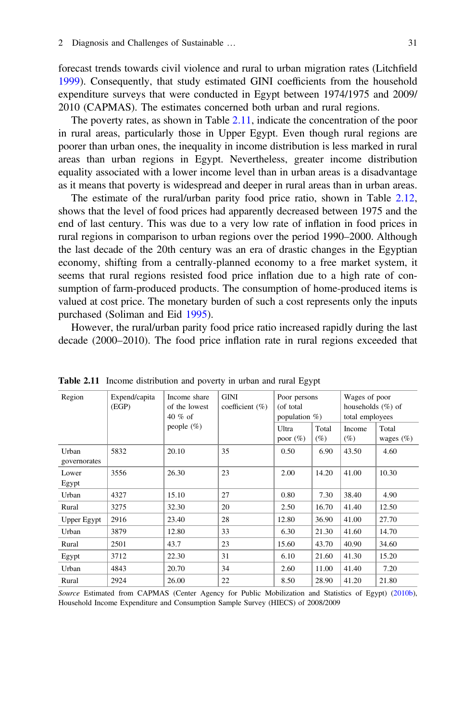forecast trends towards civil violence and rural to urban migration rates (Litchfield [1999\)](#page-44-0). Consequently, that study estimated GINI coefficients from the household expenditure surveys that were conducted in Egypt between 1974/1975 and 2009/ 2010 (CAPMAS). The estimates concerned both urban and rural regions.

The poverty rates, as shown in Table 2.11, indicate the concentration of the poor in rural areas, particularly those in Upper Egypt. Even though rural regions are poorer than urban ones, the inequality in income distribution is less marked in rural areas than urban regions in Egypt. Nevertheless, greater income distribution equality associated with a lower income level than in urban areas is a disadvantage as it means that poverty is widespread and deeper in rural areas than in urban areas.

The estimate of the rural/urban parity food price ratio, shown in Table [2.12](#page-14-0), shows that the level of food prices had apparently decreased between 1975 and the end of last century. This was due to a very low rate of inflation in food prices in rural regions in comparison to urban regions over the period 1990–2000. Although the last decade of the 20th century was an era of drastic changes in the Egyptian economy, shifting from a centrally-planned economy to a free market system, it seems that rural regions resisted food price inflation due to a high rate of consumption of farm-produced products. The consumption of home-produced items is valued at cost price. The monetary burden of such a cost represents only the inputs purchased (Soliman and Eid [1995\)](#page-45-0).

However, the rural/urban parity food price ratio increased rapidly during the last decade (2000–2010). The food price inflation rate in rural regions exceeded that

|                       |                        |                                            |                                   | 0J 11                                          |                  |                                                       |       |
|-----------------------|------------------------|--------------------------------------------|-----------------------------------|------------------------------------------------|------------------|-------------------------------------------------------|-------|
| Region                | Expend/capita<br>(EGP) | Income share<br>of the lowest<br>$40\%$ of | <b>GINI</b><br>coefficient $(\%)$ | Poor persons<br>(of total<br>population $\%$ ) |                  | Wages of poor<br>households (%) of<br>total employees |       |
|                       | people $(\%)$          |                                            | Ultra<br>poor $(\%)$              | Total<br>(%)                                   | Income<br>$(\%)$ | Total<br>wages $(\%)$                                 |       |
| Urban<br>governorates | 5832                   | 20.10                                      | 35                                | 0.50                                           | 6.90             | 43.50                                                 | 4.60  |
| Lower<br>Egypt        | 3556                   | 26.30                                      | 23                                | 2.00                                           | 14.20            | 41.00                                                 | 10.30 |
| Urban                 | 4327                   | 15.10                                      | 27                                | 0.80                                           | 7.30             | 38.40                                                 | 4.90  |
| Rural                 | 3275                   | 32.30                                      | 20                                | 2.50                                           | 16.70            | 41.40                                                 | 12.50 |
| <b>Upper Egypt</b>    | 2916                   | 23.40                                      | 28                                | 12.80                                          | 36.90            | 41.00                                                 | 27.70 |
| Urban                 | 3879                   | 12.80                                      | 33                                | 6.30                                           | 21.30            | 41.60                                                 | 14.70 |
| Rural                 | 2501                   | 43.7                                       | 23                                | 15.60                                          | 43.70            | 40.90                                                 | 34.60 |
| Egypt                 | 3712                   | 22.30                                      | 31                                | 6.10                                           | 21.60            | 41.30                                                 | 15.20 |
| Urban                 | 4843                   | 20.70                                      | 34                                | 2.60                                           | 11.00            | 41.40                                                 | 7.20  |
| Rural                 | 2924                   | 26.00                                      | 22                                | 8.50                                           | 28.90            | 41.20                                                 | 21.80 |

Table 2.11 Income distribution and poverty in urban and rural Egypt

Source Estimated from CAPMAS (Center Agency for Public Mobilization and Statistics of Egypt) [\(2010b](#page-44-0)), Household Income Expenditure and Consumption Sample Survey (HIECS) of 2008/2009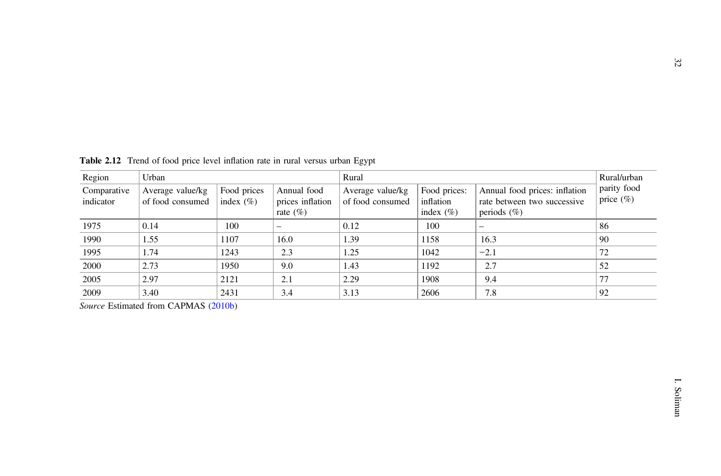| Region                   | Urban                                |                             |                                                | Rural                                |                                            |                                                                                |                             |  |
|--------------------------|--------------------------------------|-----------------------------|------------------------------------------------|--------------------------------------|--------------------------------------------|--------------------------------------------------------------------------------|-----------------------------|--|
| Comparative<br>indicator | Average value/kg<br>of food consumed | Food prices<br>index $(\%)$ | Annual food<br>prices inflation<br>rate $(\%)$ | Average value/kg<br>of food consumed | Food prices:<br>inflation<br>index $(\% )$ | Annual food prices: inflation<br>rate between two successive<br>periods $(\%)$ | parity food<br>price $(\%)$ |  |
| 1975                     | 0.14                                 | 100                         |                                                | 0.12                                 | 100                                        |                                                                                | -86                         |  |
| 1990                     | 1.55                                 | 1107                        | 16.0                                           | 1.39                                 | 1158                                       | 16.3                                                                           | 90                          |  |
| 1995                     | 1.74                                 | 1243                        | 2.3                                            | 1.25                                 | 1042                                       | $-2.1$                                                                         | 72                          |  |
| 2000                     | 2.73                                 | 1950                        | 9.0                                            | 1.43                                 | 1192                                       | 2.7                                                                            | 52                          |  |
| 2005                     | 2.97                                 | 2121                        | 2.1                                            | 2.29                                 | 1908                                       | 9.4                                                                            | 77                          |  |
| 2009                     | 3.40                                 | 2431                        | 3.4                                            | 3.13                                 | 2606                                       | 7.8                                                                            | 92                          |  |

<span id="page-14-0"></span>Table 2.12 Trend of food price level inflation rate in rural versus urban Egypt

*Source* Estimated from CAPMAS [\(2010b\)](#page-44-0)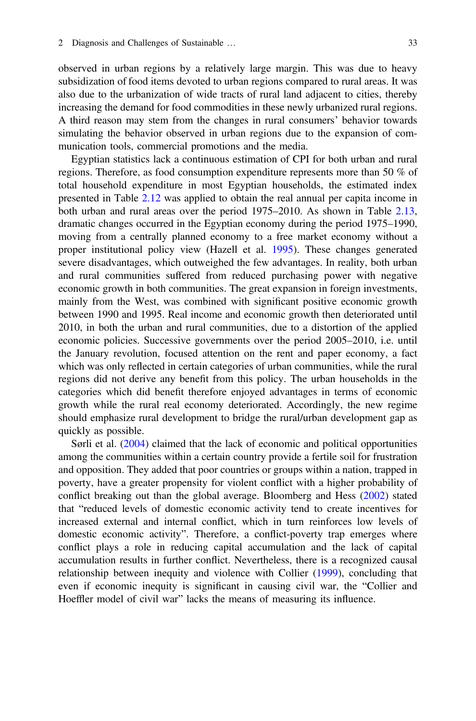observed in urban regions by a relatively large margin. This was due to heavy subsidization of food items devoted to urban regions compared to rural areas. It was also due to the urbanization of wide tracts of rural land adjacent to cities, thereby increasing the demand for food commodities in these newly urbanized rural regions. A third reason may stem from the changes in rural consumers' behavior towards simulating the behavior observed in urban regions due to the expansion of communication tools, commercial promotions and the media.

Egyptian statistics lack a continuous estimation of CPI for both urban and rural regions. Therefore, as food consumption expenditure represents more than 50 % of total household expenditure in most Egyptian households, the estimated index presented in Table [2.12](#page-14-0) was applied to obtain the real annual per capita income in both urban and rural areas over the period 1975–2010. As shown in Table [2.13](#page-16-0), dramatic changes occurred in the Egyptian economy during the period 1975–1990, moving from a centrally planned economy to a free market economy without a proper institutional policy view (Hazell et al. [1995\)](#page-44-0). These changes generated severe disadvantages, which outweighed the few advantages. In reality, both urban and rural communities suffered from reduced purchasing power with negative economic growth in both communities. The great expansion in foreign investments, mainly from the West, was combined with significant positive economic growth between 1990 and 1995. Real income and economic growth then deteriorated until 2010, in both the urban and rural communities, due to a distortion of the applied economic policies. Successive governments over the period 2005–2010, i.e. until the January revolution, focused attention on the rent and paper economy, a fact which was only reflected in certain categories of urban communities, while the rural regions did not derive any benefit from this policy. The urban households in the categories which did benefit therefore enjoyed advantages in terms of economic growth while the rural real economy deteriorated. Accordingly, the new regime should emphasize rural development to bridge the rural/urban development gap as quickly as possible.

Sørli et al. [\(2004](#page-46-0)) claimed that the lack of economic and political opportunities among the communities within a certain country provide a fertile soil for frustration and opposition. They added that poor countries or groups within a nation, trapped in poverty, have a greater propensity for violent conflict with a higher probability of conflict breaking out than the global average. Bloomberg and Hess ([2002\)](#page-43-0) stated that "reduced levels of domestic economic activity tend to create incentives for increased external and internal conflict, which in turn reinforces low levels of domestic economic activity". Therefore, a conflict-poverty trap emerges where conflict plays a role in reducing capital accumulation and the lack of capital accumulation results in further conflict. Nevertheless, there is a recognized causal relationship between inequity and violence with Collier [\(1999](#page-44-0)), concluding that even if economic inequity is significant in causing civil war, the "Collier and Hoeffler model of civil war" lacks the means of measuring its influence.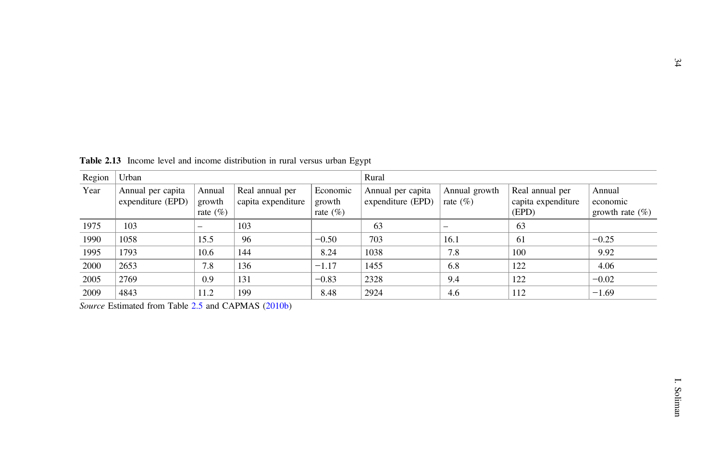| Region | Urban                                                                     |      |                                       |                                    | Rural                                                                  |                          |                                                |                                           |  |  |  |
|--------|---------------------------------------------------------------------------|------|---------------------------------------|------------------------------------|------------------------------------------------------------------------|--------------------------|------------------------------------------------|-------------------------------------------|--|--|--|
| Year   | Annual per capita<br>Annual<br>expenditure (EPD)<br>growth<br>rate $(\%)$ |      | Real annual per<br>capita expenditure | Economic<br>growth<br>rate $(\% )$ | Annual per capita<br>Annual growth<br>expenditure (EPD)<br>rate $(\%)$ |                          | Real annual per<br>capita expenditure<br>(EPD) | Annual<br>economic<br>growth rate $(\% )$ |  |  |  |
| 1975   | 103                                                                       | -    | 103                                   |                                    | 63                                                                     | $\overline{\phantom{0}}$ | 63                                             |                                           |  |  |  |
| 1990   | 1058                                                                      | 15.5 | 96                                    | $-0.50$                            | 703                                                                    | 16.1                     | 61                                             | $-0.25$                                   |  |  |  |
| 1995   | 1793                                                                      | 10.6 | 144                                   | 8.24                               | 1038                                                                   | 7.8                      | 100                                            | 9.92                                      |  |  |  |
| 2000   | 2653                                                                      | 7.8  | 136                                   | $-1.17$                            | 1455                                                                   | 6.8                      | 122                                            | 4.06                                      |  |  |  |
| 2005   | 2769                                                                      | 0.9  | 131                                   | $-0.83$                            | 2328                                                                   | 9.4                      | 122                                            | $-0.02$                                   |  |  |  |
| 2009   | 4843                                                                      | 11.2 | 199                                   | 8.48                               | 2924                                                                   | 4.6                      | 112                                            | $-1.69$                                   |  |  |  |

<span id="page-16-0"></span>Table 2.13 Income level and income distribution in rural versus urban Egypt

*Source* Estimated from Table [2.5](#page-8-0) and CAPMAS ([2010b](#page-44-0))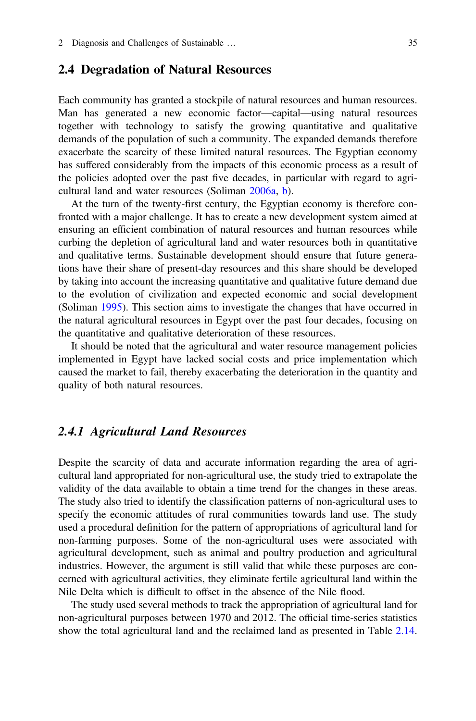## 2.4 Degradation of Natural Resources

Each community has granted a stockpile of natural resources and human resources. Man has generated a new economic factor—capital—using natural resources together with technology to satisfy the growing quantitative and qualitative demands of the population of such a community. The expanded demands therefore exacerbate the scarcity of these limited natural resources. The Egyptian economy has suffered considerably from the impacts of this economic process as a result of the policies adopted over the past five decades, in particular with regard to agricultural land and water resources (Soliman [2006a,](#page-45-0) [b\)](#page-45-0).

At the turn of the twenty-first century, the Egyptian economy is therefore confronted with a major challenge. It has to create a new development system aimed at ensuring an efficient combination of natural resources and human resources while curbing the depletion of agricultural land and water resources both in quantitative and qualitative terms. Sustainable development should ensure that future generations have their share of present-day resources and this share should be developed by taking into account the increasing quantitative and qualitative future demand due to the evolution of civilization and expected economic and social development (Soliman [1995\)](#page-45-0). This section aims to investigate the changes that have occurred in the natural agricultural resources in Egypt over the past four decades, focusing on the quantitative and qualitative deterioration of these resources.

It should be noted that the agricultural and water resource management policies implemented in Egypt have lacked social costs and price implementation which caused the market to fail, thereby exacerbating the deterioration in the quantity and quality of both natural resources.

## 2.4.1 Agricultural Land Resources

Despite the scarcity of data and accurate information regarding the area of agricultural land appropriated for non-agricultural use, the study tried to extrapolate the validity of the data available to obtain a time trend for the changes in these areas. The study also tried to identify the classification patterns of non-agricultural uses to specify the economic attitudes of rural communities towards land use. The study used a procedural definition for the pattern of appropriations of agricultural land for non-farming purposes. Some of the non-agricultural uses were associated with agricultural development, such as animal and poultry production and agricultural industries. However, the argument is still valid that while these purposes are concerned with agricultural activities, they eliminate fertile agricultural land within the Nile Delta which is difficult to offset in the absence of the Nile flood.

The study used several methods to track the appropriation of agricultural land for non-agricultural purposes between 1970 and 2012. The official time-series statistics show the total agricultural land and the reclaimed land as presented in Table [2.14](#page-18-0).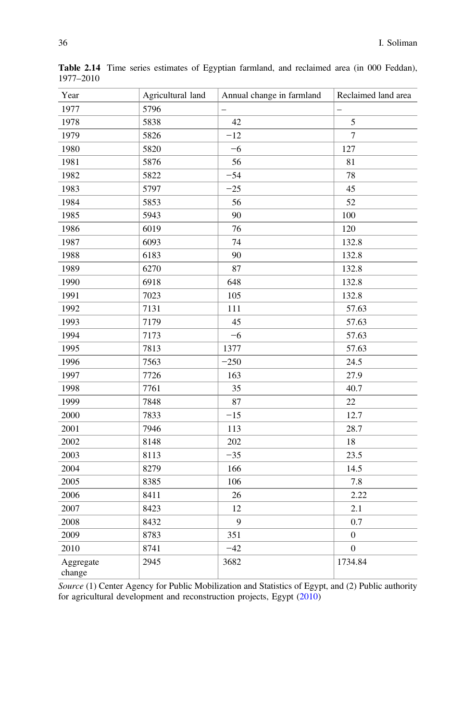| Year                | Agricultural land | Annual change in farmland | Reclaimed land area |
|---------------------|-------------------|---------------------------|---------------------|
| 1977                | 5796              |                           |                     |
| 1978                | 5838              | 42                        | 5                   |
| 1979                | 5826              | $-12$                     | $\overline{7}$      |
| 1980                | 5820              | $-6$                      | 127                 |
| 1981                | 5876              | 56                        | 81                  |
| 1982                | 5822              | $-54$                     | 78                  |
| 1983                | 5797              | $-25$                     | 45                  |
| 1984                | 5853              | 56                        | 52                  |
| 1985                | 5943              | 90                        | 100                 |
| 1986                | 6019              | 76                        | 120                 |
| 1987                | 6093              | 74                        | 132.8               |
| 1988                | 6183              | 90                        | 132.8               |
| 1989                | 6270              | 87                        | 132.8               |
| 1990                | 6918              | 648                       | 132.8               |
| 1991                | 7023              | 105                       | 132.8               |
| 1992                | 7131              | 111                       | 57.63               |
| 1993                | 7179              | 45                        | 57.63               |
| 1994                | 7173              | $-6$                      | 57.63               |
| 1995                | 7813              | 1377                      | 57.63               |
| 1996                | 7563              | $-250$                    | 24.5                |
| 1997                | 7726              | 163                       | 27.9                |
| 1998                | 7761              | 35                        | 40.7                |
| 1999                | 7848              | 87                        | 22                  |
| 2000                | 7833              | $-15$                     | 12.7                |
| 2001                | 7946              | 113                       | 28.7                |
| 2002                | 8148              | 202                       | 18                  |
| 2003                | 8113              | $-35$                     | 23.5                |
| 2004                | 8279              | 166                       | 14.5                |
| 2005                | 8385              | 106                       | 7.8                 |
| 2006                | 8411              | 26                        | 2.22                |
| 2007                | 8423              | 12                        | 2.1                 |
| 2008                | 8432              | 9                         | 0.7                 |
| 2009                | 8783              | 351                       | $\boldsymbol{0}$    |
| 2010                | 8741              | $-42$                     | $\boldsymbol{0}$    |
| Aggregate<br>change | 2945              | 3682                      | 1734.84             |

<span id="page-18-0"></span>Table 2.14 Time series estimates of Egyptian farmland, and reclaimed area (in 000 Feddan), 1977–2010

*Source* (1) Center Agency for Public Mobilization and Statistics of Egypt, and (2) Public authority for agricultural development and reconstruction projects, Egypt ([2010\)](#page-45-0)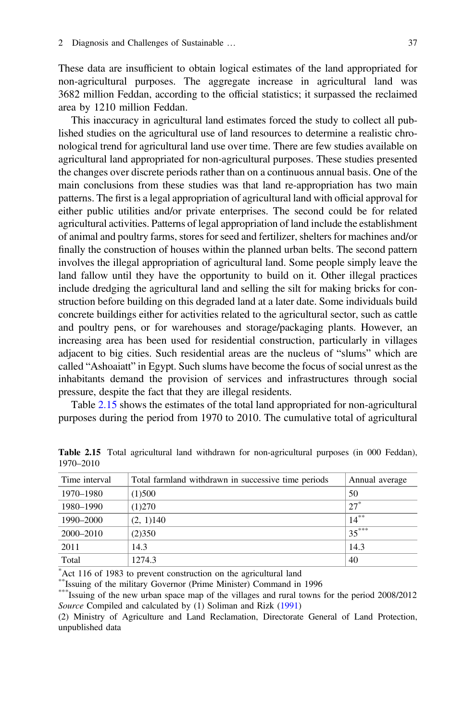These data are insufficient to obtain logical estimates of the land appropriated for non-agricultural purposes. The aggregate increase in agricultural land was 3682 million Feddan, according to the official statistics; it surpassed the reclaimed area by 1210 million Feddan.

This inaccuracy in agricultural land estimates forced the study to collect all published studies on the agricultural use of land resources to determine a realistic chronological trend for agricultural land use over time. There are few studies available on agricultural land appropriated for non-agricultural purposes. These studies presented the changes over discrete periods rather than on a continuous annual basis. One of the main conclusions from these studies was that land re-appropriation has two main patterns. The first is a legal appropriation of agricultural land with official approval for either public utilities and/or private enterprises. The second could be for related agricultural activities. Patterns of legal appropriation of land include the establishment of animal and poultry farms, stores for seed and fertilizer, shelters for machines and/or finally the construction of houses within the planned urban belts. The second pattern involves the illegal appropriation of agricultural land. Some people simply leave the land fallow until they have the opportunity to build on it. Other illegal practices include dredging the agricultural land and selling the silt for making bricks for construction before building on this degraded land at a later date. Some individuals build concrete buildings either for activities related to the agricultural sector, such as cattle and poultry pens, or for warehouses and storage/packaging plants. However, an increasing area has been used for residential construction, particularly in villages adjacent to big cities. Such residential areas are the nucleus of "slums" which are called "Ashoaiatt" in Egypt. Such slums have become the focus of social unrest as the inhabitants demand the provision of services and infrastructures through social pressure, despite the fact that they are illegal residents.

Table 2.15 shows the estimates of the total land appropriated for non-agricultural purposes during the period from 1970 to 2010. The cumulative total of agricultural

| Time interval | Total farmland withdrawn in successive time periods | Annual average |
|---------------|-----------------------------------------------------|----------------|
| 1970–1980     | (1)500                                              | 50             |
| 1980–1990     | (1)270                                              | $27*$          |
| 1990–2000     | (2, 1)140                                           | $14^{**}$      |
| 2000-2010     | (2)350                                              | 135            |
| 2011          | 14.3                                                | 14.3           |
| Total         | 1274.3                                              | 40             |

Table 2.15 Total agricultural land withdrawn for non-agricultural purposes (in 000 Feddan), 1970–2010

\*Act 116 of 1983 to prevent construction on the agricultural land

\*\*Issuing of the military Governor (Prime Minister) Command in 1996

\*\*\*Issuing of the new urban space map of the villages and rural towns for the period 2008/2012 *Source* Compiled and calculated by (1) Soliman and Rizk ([1991\)](#page-45-0)

(2) Ministry of Agriculture and Land Reclamation, Directorate General of Land Protection, unpublished data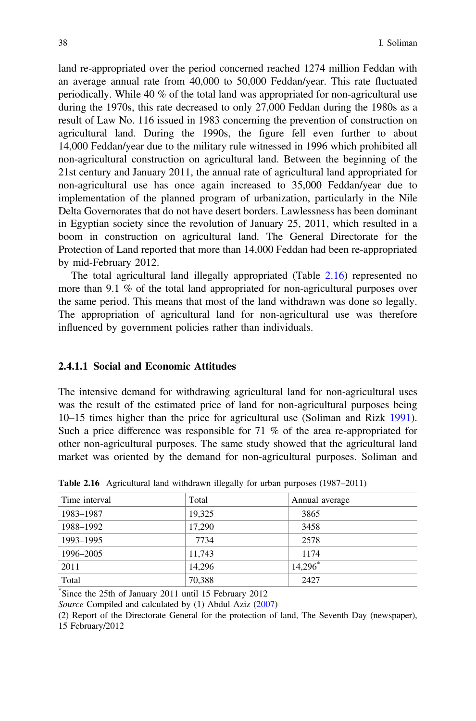land re-appropriated over the period concerned reached 1274 million Feddan with an average annual rate from 40,000 to 50,000 Feddan/year. This rate fluctuated periodically. While 40 % of the total land was appropriated for non-agricultural use during the 1970s, this rate decreased to only 27,000 Feddan during the 1980s as a result of Law No. 116 issued in 1983 concerning the prevention of construction on agricultural land. During the 1990s, the figure fell even further to about 14,000 Feddan/year due to the military rule witnessed in 1996 which prohibited all non-agricultural construction on agricultural land. Between the beginning of the 21st century and January 2011, the annual rate of agricultural land appropriated for non-agricultural use has once again increased to 35,000 Feddan/year due to implementation of the planned program of urbanization, particularly in the Nile Delta Governorates that do not have desert borders. Lawlessness has been dominant in Egyptian society since the revolution of January 25, 2011, which resulted in a boom in construction on agricultural land. The General Directorate for the Protection of Land reported that more than 14,000 Feddan had been re-appropriated by mid-February 2012.

The total agricultural land illegally appropriated (Table 2.16) represented no more than 9.1 % of the total land appropriated for non-agricultural purposes over the same period. This means that most of the land withdrawn was done so legally. The appropriation of agricultural land for non-agricultural use was therefore influenced by government policies rather than individuals.

#### 2.4.1.1 Social and Economic Attitudes

The intensive demand for withdrawing agricultural land for non-agricultural uses was the result of the estimated price of land for non-agricultural purposes being 10–15 times higher than the price for agricultural use (Soliman and Rizk [1991\)](#page-45-0). Such a price difference was responsible for 71 % of the area re-appropriated for other non-agricultural purposes. The same study showed that the agricultural land market was oriented by the demand for non-agricultural purposes. Soliman and

| Time interval | Total  | Annual average        |
|---------------|--------|-----------------------|
| 1983-1987     | 19.325 | 3865                  |
| 1988-1992     | 17.290 | 3458                  |
| 1993-1995     | 7734   | 2578                  |
| 1996-2005     | 11,743 | 1174                  |
| 2011          | 14.296 | $14,296$ <sup>*</sup> |
| Total         | 70,388 | 2427                  |

Table 2.16 Agricultural land withdrawn illegally for urban purposes (1987–2011)

\* Since the 25th of January 2011 until 15 February 2012

*Source* Compiled and calculated by (1) Abdul Aziz ([2007\)](#page-43-0)

(2) Report of the Directorate General for the protection of land, The Seventh Day (newspaper), 15 February/2012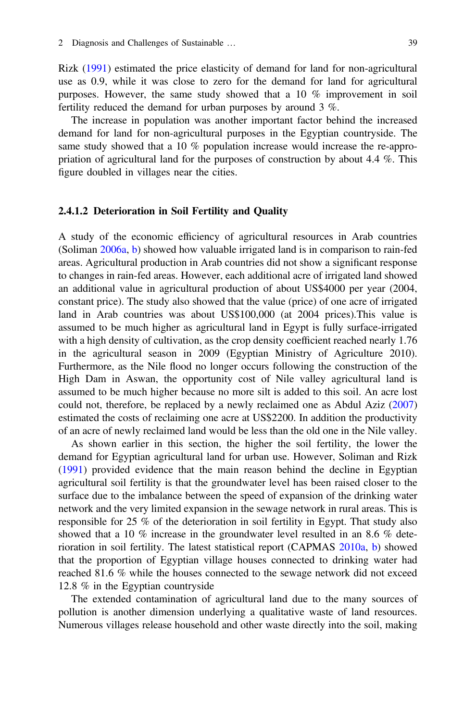Rizk [\(1991](#page-45-0)) estimated the price elasticity of demand for land for non-agricultural use as 0.9, while it was close to zero for the demand for land for agricultural purposes. However, the same study showed that a 10 % improvement in soil fertility reduced the demand for urban purposes by around 3 %.

The increase in population was another important factor behind the increased demand for land for non-agricultural purposes in the Egyptian countryside. The same study showed that a 10 % population increase would increase the re-appropriation of agricultural land for the purposes of construction by about 4.4 %. This figure doubled in villages near the cities.

#### 2.4.1.2 Deterioration in Soil Fertility and Quality

A study of the economic efficiency of agricultural resources in Arab countries (Soliman [2006a,](#page-45-0) [b\)](#page-45-0) showed how valuable irrigated land is in comparison to rain-fed areas. Agricultural production in Arab countries did not show a significant response to changes in rain-fed areas. However, each additional acre of irrigated land showed an additional value in agricultural production of about US\$4000 per year (2004, constant price). The study also showed that the value (price) of one acre of irrigated land in Arab countries was about US\$100,000 (at 2004 prices).This value is assumed to be much higher as agricultural land in Egypt is fully surface-irrigated with a high density of cultivation, as the crop density coefficient reached nearly 1.76 in the agricultural season in 2009 (Egyptian Ministry of Agriculture 2010). Furthermore, as the Nile flood no longer occurs following the construction of the High Dam in Aswan, the opportunity cost of Nile valley agricultural land is assumed to be much higher because no more silt is added to this soil. An acre lost could not, therefore, be replaced by a newly reclaimed one as Abdul Aziz [\(2007](#page-43-0)) estimated the costs of reclaiming one acre at US\$2200. In addition the productivity of an acre of newly reclaimed land would be less than the old one in the Nile valley.

As shown earlier in this section, the higher the soil fertility, the lower the demand for Egyptian agricultural land for urban use. However, Soliman and Rizk [\(1991](#page-45-0)) provided evidence that the main reason behind the decline in Egyptian agricultural soil fertility is that the groundwater level has been raised closer to the surface due to the imbalance between the speed of expansion of the drinking water network and the very limited expansion in the sewage network in rural areas. This is responsible for 25 % of the deterioration in soil fertility in Egypt. That study also showed that a 10 % increase in the groundwater level resulted in an 8.6 % deterioration in soil fertility. The latest statistical report (CAPMAS [2010a,](#page-43-0) [b](#page-44-0)) showed that the proportion of Egyptian village houses connected to drinking water had reached 81.6 % while the houses connected to the sewage network did not exceed 12.8 % in the Egyptian countryside

The extended contamination of agricultural land due to the many sources of pollution is another dimension underlying a qualitative waste of land resources. Numerous villages release household and other waste directly into the soil, making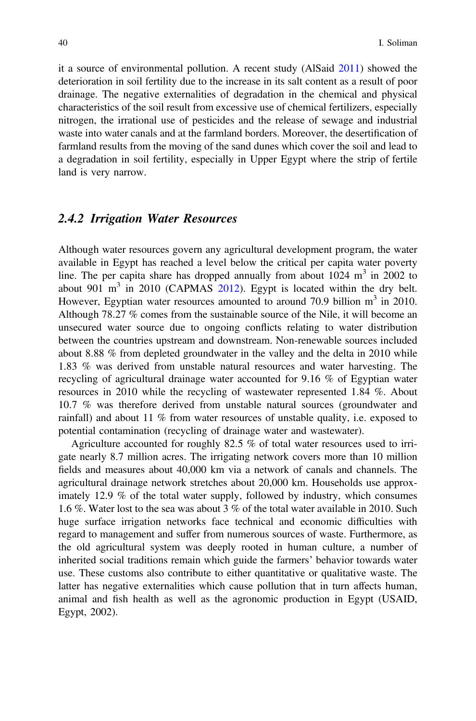it a source of environmental pollution. A recent study (AlSaid [2011\)](#page-43-0) showed the deterioration in soil fertility due to the increase in its salt content as a result of poor drainage. The negative externalities of degradation in the chemical and physical characteristics of the soil result from excessive use of chemical fertilizers, especially nitrogen, the irrational use of pesticides and the release of sewage and industrial waste into water canals and at the farmland borders. Moreover, the desertification of farmland results from the moving of the sand dunes which cover the soil and lead to a degradation in soil fertility, especially in Upper Egypt where the strip of fertile land is very narrow.

#### 2.4.2 Irrigation Water Resources

Although water resources govern any agricultural development program, the water available in Egypt has reached a level below the critical per capita water poverty line. The per capita share has dropped annually from about  $1024 \text{ m}^3$  in 2002 to about 901  $m<sup>3</sup>$  in 2010 (CAPMAS [2012](#page-44-0)). Egypt is located within the dry belt. However, Egyptian water resources amounted to around 70.9 billion  $m<sup>3</sup>$  in 2010. Although 78.27 % comes from the sustainable source of the Nile, it will become an unsecured water source due to ongoing conflicts relating to water distribution between the countries upstream and downstream. Non-renewable sources included about 8.88 % from depleted groundwater in the valley and the delta in 2010 while 1.83 % was derived from unstable natural resources and water harvesting. The recycling of agricultural drainage water accounted for 9.16 % of Egyptian water resources in 2010 while the recycling of wastewater represented 1.84 %. About 10.7 % was therefore derived from unstable natural sources (groundwater and rainfall) and about 11 % from water resources of unstable quality, i.e. exposed to potential contamination (recycling of drainage water and wastewater).

Agriculture accounted for roughly 82.5 % of total water resources used to irrigate nearly 8.7 million acres. The irrigating network covers more than 10 million fields and measures about 40,000 km via a network of canals and channels. The agricultural drainage network stretches about 20,000 km. Households use approximately 12.9 % of the total water supply, followed by industry, which consumes 1.6 %. Water lost to the sea was about 3 % of the total water available in 2010. Such huge surface irrigation networks face technical and economic difficulties with regard to management and suffer from numerous sources of waste. Furthermore, as the old agricultural system was deeply rooted in human culture, a number of inherited social traditions remain which guide the farmers' behavior towards water use. These customs also contribute to either quantitative or qualitative waste. The latter has negative externalities which cause pollution that in turn affects human, animal and fish health as well as the agronomic production in Egypt (USAID, Egypt, 2002).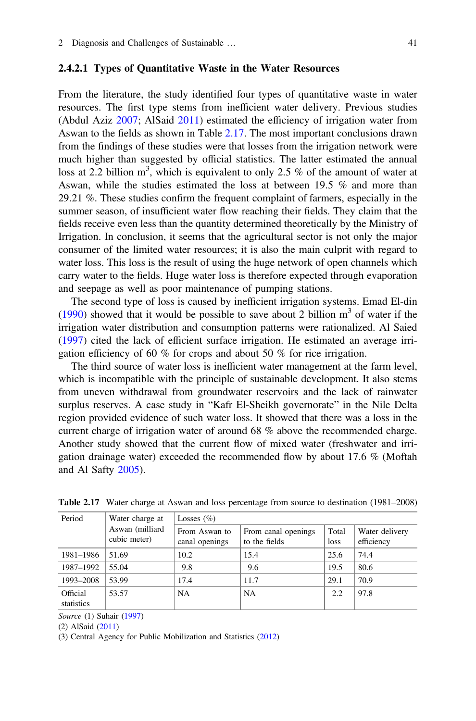#### 2.4.2.1 Types of Quantitative Waste in the Water Resources

From the literature, the study identified four types of quantitative waste in water resources. The first type stems from inefficient water delivery. Previous studies (Abdul Aziz [2007](#page-43-0); AlSaid [2011](#page-43-0)) estimated the efficiency of irrigation water from Aswan to the fields as shown in Table 2.17. The most important conclusions drawn from the findings of these studies were that losses from the irrigation network were much higher than suggested by official statistics. The latter estimated the annual loss at 2.2 billion  $m^3$ , which is equivalent to only 2.5 % of the amount of water at Aswan, while the studies estimated the loss at between 19.5 % and more than 29.21 %. These studies confirm the frequent complaint of farmers, especially in the summer season, of insufficient water flow reaching their fields. They claim that the fields receive even less than the quantity determined theoretically by the Ministry of Irrigation. In conclusion, it seems that the agricultural sector is not only the major consumer of the limited water resources; it is also the main culprit with regard to water loss. This loss is the result of using the huge network of open channels which carry water to the fields. Huge water loss is therefore expected through evaporation and seepage as well as poor maintenance of pumping stations.

The second type of loss is caused by inefficient irrigation systems. Emad El-din  $(1990)$  $(1990)$  showed that it would be possible to save about 2 billion  $m<sup>3</sup>$  of water if the irrigation water distribution and consumption patterns were rationalized. Al Saied [\(1997](#page-43-0)) cited the lack of efficient surface irrigation. He estimated an average irrigation efficiency of 60 % for crops and about 50 % for rice irrigation.

The third source of water loss is inefficient water management at the farm level, which is incompatible with the principle of sustainable development. It also stems from uneven withdrawal from groundwater reservoirs and the lack of rainwater surplus reserves. A case study in "Kafr El-Sheikh governorate" in the Nile Delta region provided evidence of such water loss. It showed that there was a loss in the current charge of irrigation water of around 68 % above the recommended charge. Another study showed that the current flow of mixed water (freshwater and irrigation drainage water) exceeded the recommended flow by about 17.6 % (Moftah and Al Safty [2005\)](#page-45-0).

| Period                 | Water charge at                  | Losses $(\% )$                  |                                      |               |                              |  |  |  |
|------------------------|----------------------------------|---------------------------------|--------------------------------------|---------------|------------------------------|--|--|--|
|                        | Aswan (milliard)<br>cubic meter) | From Aswan to<br>canal openings | From canal openings<br>to the fields | Total<br>loss | Water delivery<br>efficiency |  |  |  |
| 1981-1986              | 51.69                            | 10.2                            | 15.4                                 | 25.6          | 74.4                         |  |  |  |
| 1987-1992              | 55.04                            | 9.8                             | 9.6                                  | 19.5          | 80.6                         |  |  |  |
| 1993-2008              | 53.99                            | 17.4                            | 11.7                                 | 29.1          | 70.9                         |  |  |  |
| Official<br>statistics | 53.57                            | <b>NA</b>                       | NA                                   | 2.2           | 97.8                         |  |  |  |

Table 2.17 Water charge at Aswan and loss percentage from source to destination (1981–2008)

*Source* (1) Suhair ([1997](#page-46-0))

(3) Central Agency for Public Mobilization and Statistics ([2012\)](#page-44-0)

<sup>(2)</sup> AlSaid ([2011](#page-43-0))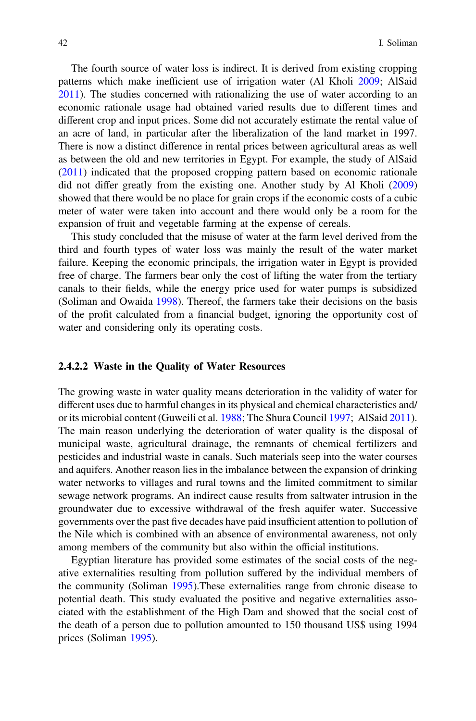The fourth source of water loss is indirect. It is derived from existing cropping patterns which make inefficient use of irrigation water (Al Kholi [2009;](#page-43-0) AlSaid [2011\)](#page-43-0). The studies concerned with rationalizing the use of water according to an economic rationale usage had obtained varied results due to different times and different crop and input prices. Some did not accurately estimate the rental value of an acre of land, in particular after the liberalization of the land market in 1997. There is now a distinct difference in rental prices between agricultural areas as well as between the old and new territories in Egypt. For example, the study of AlSaid [\(2011](#page-43-0)) indicated that the proposed cropping pattern based on economic rationale did not differ greatly from the existing one. Another study by Al Kholi [\(2009](#page-43-0)) showed that there would be no place for grain crops if the economic costs of a cubic meter of water were taken into account and there would only be a room for the expansion of fruit and vegetable farming at the expense of cereals.

This study concluded that the misuse of water at the farm level derived from the third and fourth types of water loss was mainly the result of the water market failure. Keeping the economic principals, the irrigation water in Egypt is provided free of charge. The farmers bear only the cost of lifting the water from the tertiary canals to their fields, while the energy price used for water pumps is subsidized (Soliman and Owaida [1998](#page-45-0)). Thereof, the farmers take their decisions on the basis of the profit calculated from a financial budget, ignoring the opportunity cost of water and considering only its operating costs.

#### 2.4.2.2 Waste in the Quality of Water Resources

The growing waste in water quality means deterioration in the validity of water for different uses due to harmful changes in its physical and chemical characteristics and/ or its microbial content (Guweili et al. [1988](#page-44-0); The Shura Council [1997;](#page-44-0) AlSaid [2011\)](#page-43-0). The main reason underlying the deterioration of water quality is the disposal of municipal waste, agricultural drainage, the remnants of chemical fertilizers and pesticides and industrial waste in canals. Such materials seep into the water courses and aquifers. Another reason lies in the imbalance between the expansion of drinking water networks to villages and rural towns and the limited commitment to similar sewage network programs. An indirect cause results from saltwater intrusion in the groundwater due to excessive withdrawal of the fresh aquifer water. Successive governments over the past five decades have paid insufficient attention to pollution of the Nile which is combined with an absence of environmental awareness, not only among members of the community but also within the official institutions.

Egyptian literature has provided some estimates of the social costs of the negative externalities resulting from pollution suffered by the individual members of the community (Soliman [1995\)](#page-45-0).These externalities range from chronic disease to potential death. This study evaluated the positive and negative externalities associated with the establishment of the High Dam and showed that the social cost of the death of a person due to pollution amounted to 150 thousand US\$ using 1994 prices (Soliman [1995](#page-45-0)).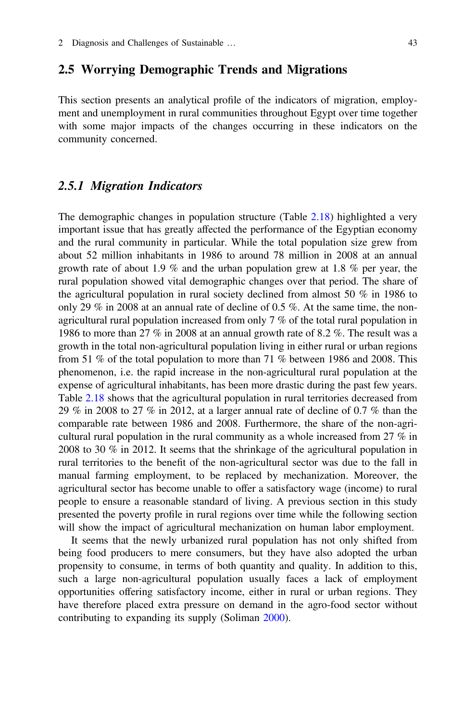## 2.5 Worrying Demographic Trends and Migrations

This section presents an analytical profile of the indicators of migration, employment and unemployment in rural communities throughout Egypt over time together with some major impacts of the changes occurring in these indicators on the community concerned.

## 2.5.1 Migration Indicators

The demographic changes in population structure (Table [2.18\)](#page-26-0) highlighted a very important issue that has greatly affected the performance of the Egyptian economy and the rural community in particular. While the total population size grew from about 52 million inhabitants in 1986 to around 78 million in 2008 at an annual growth rate of about 1.9 % and the urban population grew at 1.8 % per year, the rural population showed vital demographic changes over that period. The share of the agricultural population in rural society declined from almost 50 % in 1986 to only 29 % in 2008 at an annual rate of decline of 0.5 %. At the same time, the nonagricultural rural population increased from only  $7\%$  of the total rural population in 1986 to more than 27 % in 2008 at an annual growth rate of 8.2 %. The result was a growth in the total non-agricultural population living in either rural or urban regions from 51 % of the total population to more than 71 % between 1986 and 2008. This phenomenon, i.e. the rapid increase in the non-agricultural rural population at the expense of agricultural inhabitants, has been more drastic during the past few years. Table [2.18](#page-26-0) shows that the agricultural population in rural territories decreased from 29 % in 2008 to 27 % in 2012, at a larger annual rate of decline of 0.7 % than the comparable rate between 1986 and 2008. Furthermore, the share of the non-agricultural rural population in the rural community as a whole increased from 27 % in 2008 to 30 % in 2012. It seems that the shrinkage of the agricultural population in rural territories to the benefit of the non-agricultural sector was due to the fall in manual farming employment, to be replaced by mechanization. Moreover, the agricultural sector has become unable to offer a satisfactory wage (income) to rural people to ensure a reasonable standard of living. A previous section in this study presented the poverty profile in rural regions over time while the following section will show the impact of agricultural mechanization on human labor employment.

It seems that the newly urbanized rural population has not only shifted from being food producers to mere consumers, but they have also adopted the urban propensity to consume, in terms of both quantity and quality. In addition to this, such a large non-agricultural population usually faces a lack of employment opportunities offering satisfactory income, either in rural or urban regions. They have therefore placed extra pressure on demand in the agro-food sector without contributing to expanding its supply (Soliman [2000](#page-45-0)).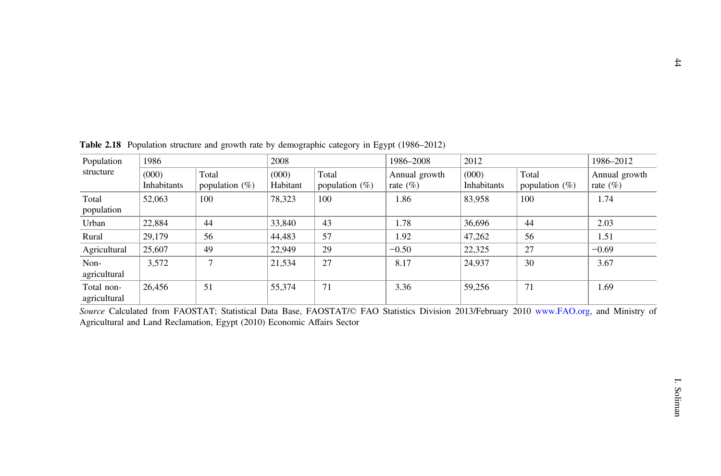| Population                 | 1986                        |                            | 2008              |                            | 1986–2008                                                                                                                                                                              | 2012   |                               | 1986-2012 |
|----------------------------|-----------------------------|----------------------------|-------------------|----------------------------|----------------------------------------------------------------------------------------------------------------------------------------------------------------------------------------|--------|-------------------------------|-----------|
| structure                  | (000)<br><b>Inhabitants</b> | Total<br>population $(\%)$ | (000)<br>Habitant | Total<br>population $(\%)$ | Total<br>(000)<br>Annual growth<br>Inhabitants<br>population $(\%)$<br>rate $(\%)$<br>100<br>1.86<br>83,958<br>1.78<br>36,696<br>44<br>1.92<br>56<br>47,262<br>27<br>$-0.50$<br>22,325 |        | Annual growth<br>rate $(\% )$ |           |
| Total<br>population        | 52,063                      | 100                        | 78,323            | 100                        |                                                                                                                                                                                        |        |                               | 1.74      |
| Urban                      | 22,884                      | 44                         | 33,840            | 43                         |                                                                                                                                                                                        |        |                               | 2.03      |
| Rural                      | 29,179                      | 56                         | 44,483            | 57                         |                                                                                                                                                                                        |        |                               | 1.51      |
| Agricultural               | 25,607                      | 49                         | 22,949            | 29                         |                                                                                                                                                                                        |        |                               | $-0.69$   |
| Non-<br>agricultural       | 3,572                       | 7                          | 21,534            | 27                         | 8.17                                                                                                                                                                                   | 24,937 | 30                            | 3.67      |
| Total non-<br>agricultural | 26,456                      | 51                         | 55,374            | 71                         | 3.36                                                                                                                                                                                   | 59,256 | 71                            | 1.69      |

<span id="page-26-0"></span>Table 2.18 Population structure and growth rate by demographic category in Egypt (1986–2012)

*Source* Calculated from FAOSTAT; Statistical Data Base, FAOSTAT/© FAO Statistics Division 2013/February 2010 [www.FAO.org](http://www.FAO.org), and Ministry of Agricultural and Land Reclamation, Egypt (2010) Economic Affairs Sector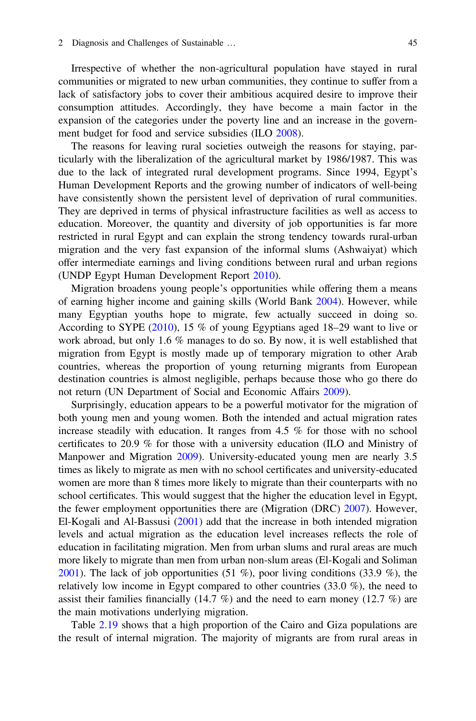Irrespective of whether the non-agricultural population have stayed in rural communities or migrated to new urban communities, they continue to suffer from a lack of satisfactory jobs to cover their ambitious acquired desire to improve their consumption attitudes. Accordingly, they have become a main factor in the expansion of the categories under the poverty line and an increase in the government budget for food and service subsidies (ILO [2008\)](#page-44-0).

The reasons for leaving rural societies outweigh the reasons for staying, particularly with the liberalization of the agricultural market by 1986/1987. This was due to the lack of integrated rural development programs. Since 1994, Egypt's Human Development Reports and the growing number of indicators of well-being have consistently shown the persistent level of deprivation of rural communities. They are deprived in terms of physical infrastructure facilities as well as access to education. Moreover, the quantity and diversity of job opportunities is far more restricted in rural Egypt and can explain the strong tendency towards rural-urban migration and the very fast expansion of the informal slums (Ashwaiyat) which offer intermediate earnings and living conditions between rural and urban regions (UNDP Egypt Human Development Report [2010\)](#page-46-0).

Migration broadens young people's opportunities while offering them a means of earning higher income and gaining skills (World Bank [2004](#page-46-0)). However, while many Egyptian youths hope to migrate, few actually succeed in doing so. According to SYPE [\(2010](#page-46-0)), 15 % of young Egyptians aged 18–29 want to live or work abroad, but only 1.6 % manages to do so. By now, it is well established that migration from Egypt is mostly made up of temporary migration to other Arab countries, whereas the proportion of young returning migrants from European destination countries is almost negligible, perhaps because those who go there do not return (UN Department of Social and Economic Affairs [2009\)](#page-46-0).

Surprisingly, education appears to be a powerful motivator for the migration of both young men and young women. Both the intended and actual migration rates increase steadily with education. It ranges from 4.5 % for those with no school certificates to 20.9 % for those with a university education (ILO and Ministry of Manpower and Migration [2009](#page-44-0)). University-educated young men are nearly 3.5 times as likely to migrate as men with no school certificates and university-educated women are more than 8 times more likely to migrate than their counterparts with no school certificates. This would suggest that the higher the education level in Egypt, the fewer employment opportunities there are (Migration (DRC) [2007\)](#page-45-0). However, El-Kogali and Al-Bassusi ([2001\)](#page-44-0) add that the increase in both intended migration levels and actual migration as the education level increases reflects the role of education in facilitating migration. Men from urban slums and rural areas are much more likely to migrate than men from urban non-slum areas (El-Kogali and Soliman [2001\)](#page-44-0). The lack of job opportunities  $(51 \%)$ , poor living conditions  $(33.9 \%)$ , the relatively low income in Egypt compared to other countries (33.0 %), the need to assist their families financially  $(14.7 \%)$  and the need to earn money  $(12.7 \%)$  are the main motivations underlying migration.

Table [2.19](#page-28-0) shows that a high proportion of the Cairo and Giza populations are the result of internal migration. The majority of migrants are from rural areas in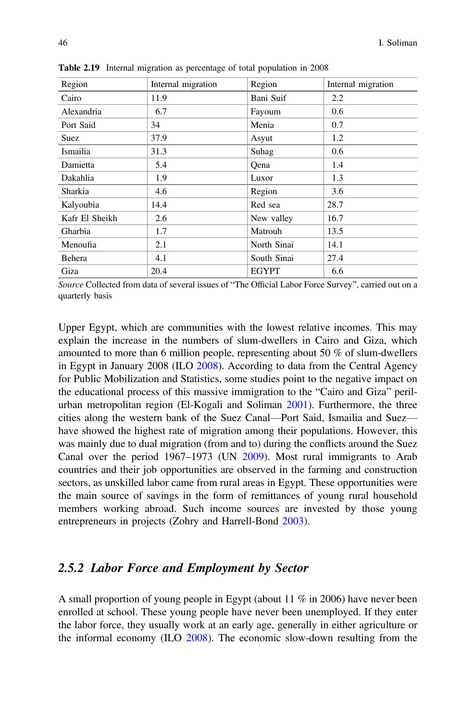| Region         | Internal migration | Region       | Internal migration |
|----------------|--------------------|--------------|--------------------|
| Cairo          | 11.9               | Bani Suif    | $2.2\,$            |
| Alexandria     | 6.7                | Fayoum       | 0.6                |
| Port Said      | 34                 | Menia        | 0.7                |
| Suez           | 37.9               | Asyut        | 1.2                |
| Ismailia       | 31.3               | Suhag        | 0.6                |
| Damietta       | 5.4                | Oena         | 1.4                |
| Dakahlia       | 1.9                | Luxor        | 1.3                |
| Sharkia        | 4.6                | Region       | 3.6                |
| Kalyoubia      | 14.4               | Red sea      | 28.7               |
| Kafr El Sheikh | 2.6                | New valley   | 16.7               |
| Gharbia        | 1.7                | Matrouh      | 13.5               |
| Menoufia       | 2.1                | North Sinai  | 14.1               |
| Behera         | 4.1                | South Sinai  | 27.4               |
| Giza           | 20.4               | <b>EGYPT</b> | 6.6                |

<span id="page-28-0"></span>Table 2.19 Internal migration as percentage of total population in 2008

*Source* Collected from data of several issues of "The Official Labor Force Survey", carried out on a quarterly basis

Upper Egypt, which are communities with the lowest relative incomes. This may explain the increase in the numbers of slum-dwellers in Cairo and Giza, which amounted to more than 6 million people, representing about 50 % of slum-dwellers in Egypt in January 2008 (ILO [2008\)](#page-44-0). According to data from the Central Agency for Public Mobilization and Statistics, some studies point to the negative impact on the educational process of this massive immigration to the "Cairo and Giza" perilurban metropolitan region (El-Kogali and Soliman [2001\)](#page-44-0). Furthermore, the three cities along the western bank of the Suez Canal—Port Said, Ismailia and Suez have showed the highest rate of migration among their populations. However, this was mainly due to dual migration (from and to) during the conflicts around the Suez Canal over the period 1967–1973 (UN [2009\)](#page-46-0). Most rural immigrants to Arab countries and their job opportunities are observed in the farming and construction sectors, as unskilled labor came from rural areas in Egypt. These opportunities were the main source of savings in the form of remittances of young rural household members working abroad. Such income sources are invested by those young entrepreneurs in projects (Zohry and Harrell-Bond [2003\)](#page-46-0).

## 2.5.2 Labor Force and Employment by Sector

A small proportion of young people in Egypt (about 11 % in 2006) have never been enrolled at school. These young people have never been unemployed. If they enter the labor force, they usually work at an early age, generally in either agriculture or the informal economy (ILO [2008\)](#page-44-0). The economic slow-down resulting from the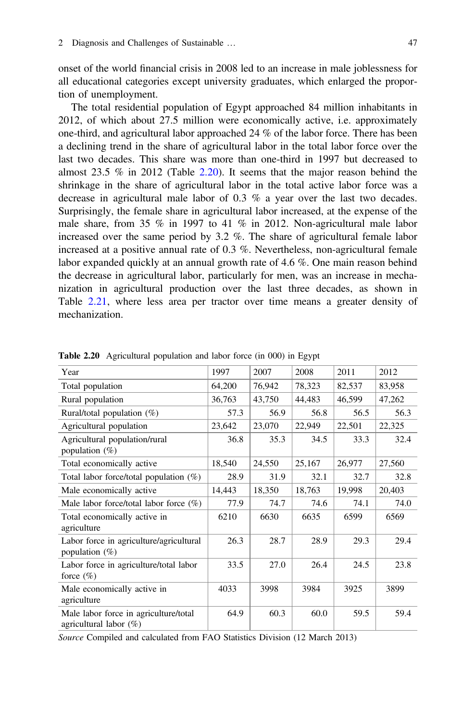onset of the world financial crisis in 2008 led to an increase in male joblessness for all educational categories except university graduates, which enlarged the proportion of unemployment.

The total residential population of Egypt approached 84 million inhabitants in 2012, of which about 27.5 million were economically active, i.e. approximately one-third, and agricultural labor approached 24 % of the labor force. There has been a declining trend in the share of agricultural labor in the total labor force over the last two decades. This share was more than one-third in 1997 but decreased to almost 23.5 % in 2012 (Table 2.20). It seems that the major reason behind the shrinkage in the share of agricultural labor in the total active labor force was a decrease in agricultural male labor of 0.3 % a year over the last two decades. Surprisingly, the female share in agricultural labor increased, at the expense of the male share, from 35 % in 1997 to 41 % in 2012. Non-agricultural male labor increased over the same period by 3.2 %. The share of agricultural female labor increased at a positive annual rate of 0.3 %. Nevertheless, non-agricultural female labor expanded quickly at an annual growth rate of 4.6 %. One main reason behind the decrease in agricultural labor, particularly for men, was an increase in mechanization in agricultural production over the last three decades, as shown in Table [2.21,](#page-30-0) where less area per tractor over time means a greater density of mechanization.

| Year                                                               | 1997   | 2007   | 2008   | 2011   | 2012   |
|--------------------------------------------------------------------|--------|--------|--------|--------|--------|
| Total population                                                   | 64,200 | 76,942 | 78,323 | 82,537 | 83,958 |
| Rural population                                                   | 36,763 | 43,750 | 44,483 | 46,599 | 47,262 |
| Rural/total population $(\%)$                                      | 57.3   | 56.9   | 56.8   | 56.5   | 56.3   |
| Agricultural population                                            | 23,642 | 23,070 | 22,949 | 22,501 | 22,325 |
| Agricultural population/rural<br>population $(\%)$                 | 36.8   | 35.3   | 34.5   | 33.3   | 32.4   |
| Total economically active                                          | 18,540 | 24,550 | 25,167 | 26,977 | 27,560 |
| Total labor force/total population $(\%)$                          | 28.9   | 31.9   | 32.1   | 32.7   | 32.8   |
| Male economically active                                           | 14,443 | 18,350 | 18,763 | 19,998 | 20,403 |
| Male labor force/total labor force $(\%)$                          | 77.9   | 74.7   | 74.6   | 74.1   | 74.0   |
| Total economically active in<br>agriculture                        | 6210   | 6630   | 6635   | 6599   | 6569   |
| Labor force in agriculture/agricultural<br>population $(\%)$       | 26.3   | 28.7   | 28.9   | 29.3   | 29.4   |
| Labor force in agriculture/total labor<br>force $(\%)$             | 33.5   | 27.0   | 26.4   | 24.5   | 23.8   |
| Male economically active in<br>agriculture                         | 4033   | 3998   | 3984   | 3925   | 3899   |
| Male labor force in agriculture/total<br>agricultural labor $(\%)$ | 64.9   | 60.3   | 60.0   | 59.5   | 59.4   |

Table 2.20 Agricultural population and labor force (in 000) in Egypt

*Source* Compiled and calculated from FAO Statistics Division (12 March 2013)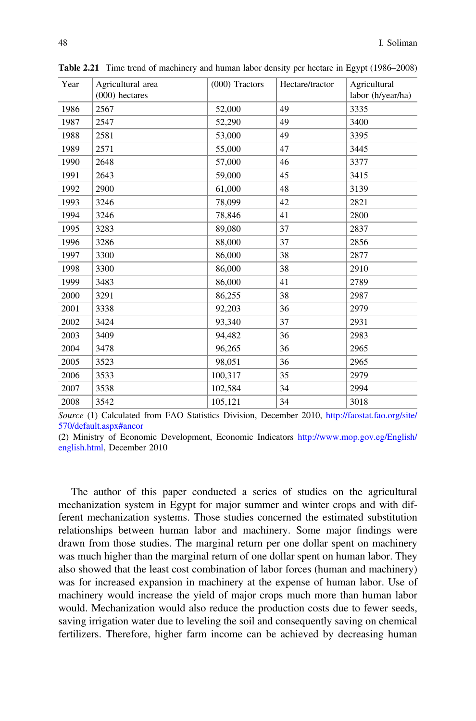| Year | Agricultural area<br>$(000)$ hectares | $(000)$ Tractors | Hectare/tractor | Agricultural<br>labor (h/year/ha) |
|------|---------------------------------------|------------------|-----------------|-----------------------------------|
| 1986 | 2567                                  | 52,000           | 49              | 3335                              |
| 1987 | 2547                                  | 52,290           | 49              | 3400                              |
| 1988 | 2581                                  | 53,000           | 49              | 3395                              |
| 1989 | 2571                                  | 55,000           | 47              | 3445                              |
| 1990 | 2648                                  | 57,000           | 46              | 3377                              |
| 1991 | 2643                                  | 59,000           | 45              | 3415                              |
| 1992 | 2900                                  | 61,000           | 48              | 3139                              |
| 1993 | 3246                                  | 78,099           | 42              | 2821                              |
| 1994 | 3246                                  | 78,846           | 41              | 2800                              |
| 1995 | 3283                                  | 89,080           | 37              | 2837                              |
| 1996 | 3286                                  | 88,000           | 37              | 2856                              |
| 1997 | 3300                                  | 86,000           | 38              | 2877                              |
| 1998 | 3300                                  | 86,000           | 38              | 2910                              |
| 1999 | 3483                                  | 86,000           | 41              | 2789                              |
| 2000 | 3291                                  | 86,255           | 38              | 2987                              |
| 2001 | 3338                                  | 92,203           | 36              | 2979                              |
| 2002 | 3424                                  | 93,340           | 37              | 2931                              |
| 2003 | 3409                                  | 94,482           | 36              | 2983                              |
| 2004 | 3478                                  | 96,265           | 36              | 2965                              |
| 2005 | 3523                                  | 98,051           | 36              | 2965                              |
| 2006 | 3533                                  | 100,317          | 35              | 2979                              |
| 2007 | 3538                                  | 102,584          | 34              | 2994                              |
| 2008 | 3542                                  | 105,121          | 34              | 3018                              |

<span id="page-30-0"></span>Table 2.21 Time trend of machinery and human labor density per hectare in Egypt (1986–2008)

*Source* (1) Calculated from FAO Statistics Division, December 2010, [http://faostat.fao.org/site/](http://faostat.fao.org/site/570/default.aspx#ancor) [570/default.aspx#ancor](http://faostat.fao.org/site/570/default.aspx#ancor)

(2) Ministry of Economic Development, Economic Indicators [http://www.mop.gov.eg/English/](http://www.mop.gov.eg/English/english.html) [english.html,](http://www.mop.gov.eg/English/english.html) December 2010

The author of this paper conducted a series of studies on the agricultural mechanization system in Egypt for major summer and winter crops and with different mechanization systems. Those studies concerned the estimated substitution relationships between human labor and machinery. Some major findings were drawn from those studies. The marginal return per one dollar spent on machinery was much higher than the marginal return of one dollar spent on human labor. They also showed that the least cost combination of labor forces (human and machinery) was for increased expansion in machinery at the expense of human labor. Use of machinery would increase the yield of major crops much more than human labor would. Mechanization would also reduce the production costs due to fewer seeds, saving irrigation water due to leveling the soil and consequently saving on chemical fertilizers. Therefore, higher farm income can be achieved by decreasing human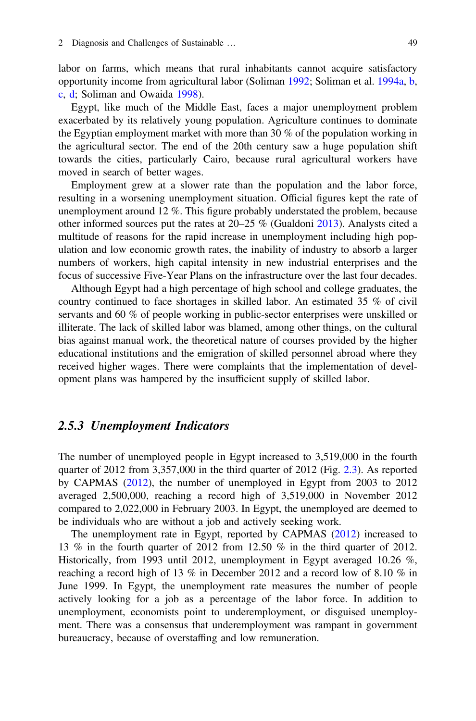labor on farms, which means that rural inhabitants cannot acquire satisfactory opportunity income from agricultural labor (Soliman [1992;](#page-45-0) Soliman et al. [1994a,](#page-45-0) [b](#page-45-0), [c](#page-45-0), [d](#page-46-0); Soliman and Owaida [1998](#page-45-0)).

Egypt, like much of the Middle East, faces a major unemployment problem exacerbated by its relatively young population. Agriculture continues to dominate the Egyptian employment market with more than 30 % of the population working in the agricultural sector. The end of the 20th century saw a huge population shift towards the cities, particularly Cairo, because rural agricultural workers have moved in search of better wages.

Employment grew at a slower rate than the population and the labor force, resulting in a worsening unemployment situation. Official figures kept the rate of unemployment around 12 %. This figure probably understated the problem, because other informed sources put the rates at 20–25 % (Gualdoni [2013\)](#page-44-0). Analysts cited a multitude of reasons for the rapid increase in unemployment including high population and low economic growth rates, the inability of industry to absorb a larger numbers of workers, high capital intensity in new industrial enterprises and the focus of successive Five-Year Plans on the infrastructure over the last four decades.

Although Egypt had a high percentage of high school and college graduates, the country continued to face shortages in skilled labor. An estimated 35 % of civil servants and 60 % of people working in public-sector enterprises were unskilled or illiterate. The lack of skilled labor was blamed, among other things, on the cultural bias against manual work, the theoretical nature of courses provided by the higher educational institutions and the emigration of skilled personnel abroad where they received higher wages. There were complaints that the implementation of development plans was hampered by the insufficient supply of skilled labor.

#### 2.5.3 Unemployment Indicators

The number of unemployed people in Egypt increased to 3,519,000 in the fourth quarter of 2012 from 3,357,000 in the third quarter of 2012 (Fig. [2.3](#page-32-0)). As reported by CAPMAS ([2012\)](#page-44-0), the number of unemployed in Egypt from 2003 to 2012 averaged 2,500,000, reaching a record high of 3,519,000 in November 2012 compared to 2,022,000 in February 2003. In Egypt, the unemployed are deemed to be individuals who are without a job and actively seeking work.

The unemployment rate in Egypt, reported by CAPMAS [\(2012](#page-44-0)) increased to 13 % in the fourth quarter of 2012 from 12.50 % in the third quarter of 2012. Historically, from 1993 until 2012, unemployment in Egypt averaged 10.26 %, reaching a record high of 13 % in December 2012 and a record low of 8.10 % in June 1999. In Egypt, the unemployment rate measures the number of people actively looking for a job as a percentage of the labor force. In addition to unemployment, economists point to underemployment, or disguised unemployment. There was a consensus that underemployment was rampant in government bureaucracy, because of overstaffing and low remuneration.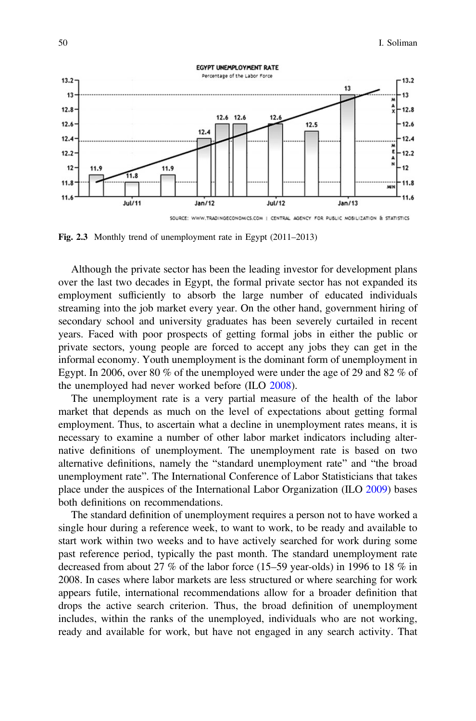<span id="page-32-0"></span>

SOURCE: WWW.TRADINGECONOMICS.COM | CENTRAL AGENCY FOR PUBLIC MOBILIZATION & STATISTICS

Fig. 2.3 Monthly trend of unemployment rate in Egypt (2011–2013)

Although the private sector has been the leading investor for development plans over the last two decades in Egypt, the formal private sector has not expanded its employment sufficiently to absorb the large number of educated individuals streaming into the job market every year. On the other hand, government hiring of secondary school and university graduates has been severely curtailed in recent years. Faced with poor prospects of getting formal jobs in either the public or private sectors, young people are forced to accept any jobs they can get in the informal economy. Youth unemployment is the dominant form of unemployment in Egypt. In 2006, over 80 % of the unemployed were under the age of 29 and 82 % of the unemployed had never worked before (ILO [2008](#page-44-0)).

The unemployment rate is a very partial measure of the health of the labor market that depends as much on the level of expectations about getting formal employment. Thus, to ascertain what a decline in unemployment rates means, it is necessary to examine a number of other labor market indicators including alternative definitions of unemployment. The unemployment rate is based on two alternative definitions, namely the "standard unemployment rate" and "the broad unemployment rate". The International Conference of Labor Statisticians that takes place under the auspices of the International Labor Organization (ILO [2009\)](#page-44-0) bases both definitions on recommendations.

The standard definition of unemployment requires a person not to have worked a single hour during a reference week, to want to work, to be ready and available to start work within two weeks and to have actively searched for work during some past reference period, typically the past month. The standard unemployment rate decreased from about 27 % of the labor force (15–59 year-olds) in 1996 to 18 % in 2008. In cases where labor markets are less structured or where searching for work appears futile, international recommendations allow for a broader definition that drops the active search criterion. Thus, the broad definition of unemployment includes, within the ranks of the unemployed, individuals who are not working, ready and available for work, but have not engaged in any search activity. That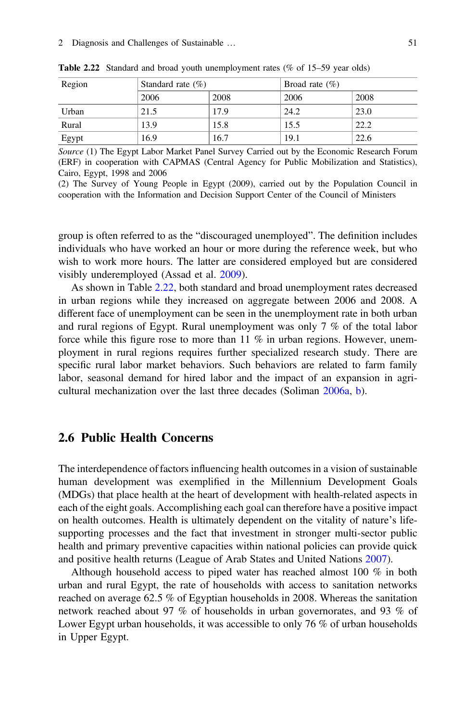| Region | Standard rate $(\% )$ |      | Broad rate $(\%)$ |      |
|--------|-----------------------|------|-------------------|------|
|        | 2006                  | 2008 | 2006              | 2008 |
| Urban  | 21.5                  | 17.9 | 24.2              | 23.0 |
| Rural  | 13.9                  | 15.8 | 15.5              | 22.2 |
| Egypt  | 16.9                  | 16.7 | 19.1              | 22.6 |

Table 2.22 Standard and broad youth unemployment rates (% of 15–59 year olds)

*Source* (1) The Egypt Labor Market Panel Survey Carried out by the Economic Research Forum (ERF) in cooperation with CAPMAS (Central Agency for Public Mobilization and Statistics), Cairo, Egypt, 1998 and 2006

(2) The Survey of Young People in Egypt (2009), carried out by the Population Council in cooperation with the Information and Decision Support Center of the Council of Ministers

group is often referred to as the "discouraged unemployed". The definition includes individuals who have worked an hour or more during the reference week, but who wish to work more hours. The latter are considered employed but are considered visibly underemployed (Assad et al. [2009](#page-43-0)).

As shown in Table 2.22, both standard and broad unemployment rates decreased in urban regions while they increased on aggregate between 2006 and 2008. A different face of unemployment can be seen in the unemployment rate in both urban and rural regions of Egypt. Rural unemployment was only 7 % of the total labor force while this figure rose to more than 11 % in urban regions. However, unemployment in rural regions requires further specialized research study. There are specific rural labor market behaviors. Such behaviors are related to farm family labor, seasonal demand for hired labor and the impact of an expansion in agricultural mechanization over the last three decades (Soliman [2006a,](#page-45-0) [b\)](#page-45-0).

## 2.6 Public Health Concerns

The interdependence of factors influencing health outcomes in a vision of sustainable human development was exemplified in the Millennium Development Goals (MDGs) that place health at the heart of development with health-related aspects in each of the eight goals. Accomplishing each goal can therefore have a positive impact on health outcomes. Health is ultimately dependent on the vitality of nature's lifesupporting processes and the fact that investment in stronger multi-sector public health and primary preventive capacities within national policies can provide quick and positive health returns (League of Arab States and United Nations [2007\)](#page-44-0).

Although household access to piped water has reached almost 100 % in both urban and rural Egypt, the rate of households with access to sanitation networks reached on average 62.5 % of Egyptian households in 2008. Whereas the sanitation network reached about 97 % of households in urban governorates, and 93 % of Lower Egypt urban households, it was accessible to only 76 % of urban households in Upper Egypt.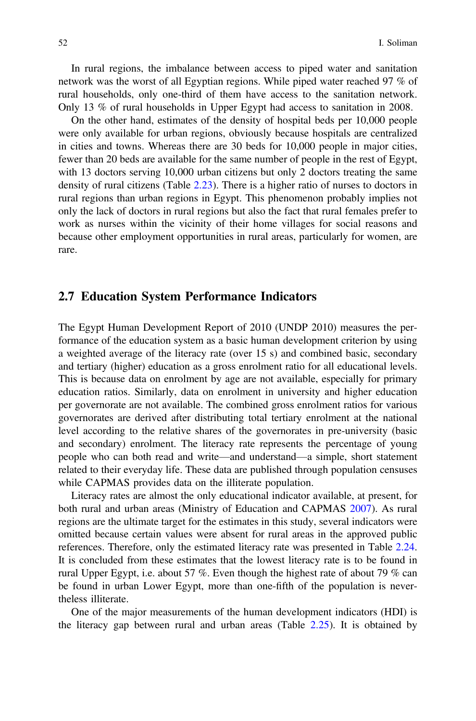In rural regions, the imbalance between access to piped water and sanitation network was the worst of all Egyptian regions. While piped water reached 97 % of rural households, only one-third of them have access to the sanitation network. Only 13 % of rural households in Upper Egypt had access to sanitation in 2008.

On the other hand, estimates of the density of hospital beds per 10,000 people were only available for urban regions, obviously because hospitals are centralized in cities and towns. Whereas there are 30 beds for 10,000 people in major cities, fewer than 20 beds are available for the same number of people in the rest of Egypt, with 13 doctors serving 10,000 urban citizens but only 2 doctors treating the same density of rural citizens (Table [2.23](#page-35-0)). There is a higher ratio of nurses to doctors in rural regions than urban regions in Egypt. This phenomenon probably implies not only the lack of doctors in rural regions but also the fact that rural females prefer to work as nurses within the vicinity of their home villages for social reasons and because other employment opportunities in rural areas, particularly for women, are rare.

## 2.7 Education System Performance Indicators

The Egypt Human Development Report of 2010 (UNDP 2010) measures the performance of the education system as a basic human development criterion by using a weighted average of the literacy rate (over 15 s) and combined basic, secondary and tertiary (higher) education as a gross enrolment ratio for all educational levels. This is because data on enrolment by age are not available, especially for primary education ratios. Similarly, data on enrolment in university and higher education per governorate are not available. The combined gross enrolment ratios for various governorates are derived after distributing total tertiary enrolment at the national level according to the relative shares of the governorates in pre-university (basic and secondary) enrolment. The literacy rate represents the percentage of young people who can both read and write—and understand—a simple, short statement related to their everyday life. These data are published through population censuses while CAPMAS provides data on the illiterate population.

Literacy rates are almost the only educational indicator available, at present, for both rural and urban areas (Ministry of Education and CAPMAS [2007](#page-45-0)). As rural regions are the ultimate target for the estimates in this study, several indicators were omitted because certain values were absent for rural areas in the approved public references. Therefore, only the estimated literacy rate was presented in Table [2.24](#page-36-0). It is concluded from these estimates that the lowest literacy rate is to be found in rural Upper Egypt, i.e. about 57 %. Even though the highest rate of about 79 % can be found in urban Lower Egypt, more than one-fifth of the population is nevertheless illiterate.

One of the major measurements of the human development indicators (HDI) is the literacy gap between rural and urban areas (Table [2.25](#page-36-0)). It is obtained by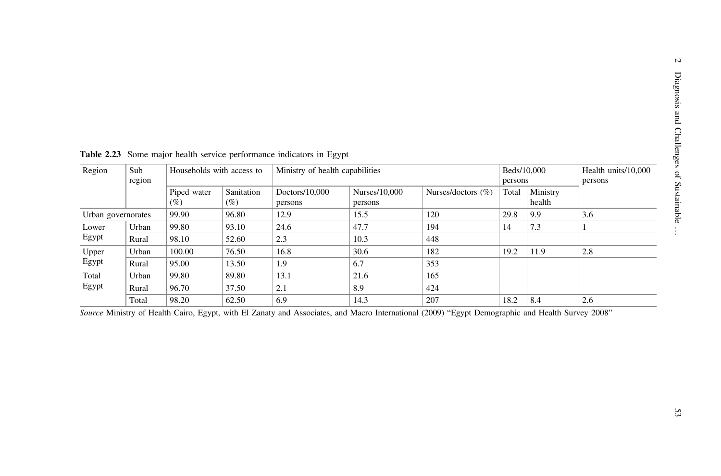$\boldsymbol{\omega}$ 

| Region             | Sub    | Households with access to |                   |                           | Ministry of health capabilities |                        |                  |                    | Health units/10,000 |
|--------------------|--------|---------------------------|-------------------|---------------------------|---------------------------------|------------------------|------------------|--------------------|---------------------|
|                    | region | Piped water<br>$(\%)$     | Sanitation<br>(%) | Doctors/10,000<br>persons | Nurses/10,000<br>persons        | Nurses/doctors $(\% )$ | persons<br>Total | Ministry<br>health | persons             |
| Urban governorates |        | 99.90                     | 96.80             | 12.9                      | 15.5                            | 120                    | 29.8             | 9.9                | 3.6                 |
| Lower              | Urban  | 99.80                     | 93.10             | 24.6                      | 47.7                            | 194                    | 14               | 7.3                |                     |
| Egypt              | Rural  | 98.10                     | 52.60             | 2.3                       | 10.3                            | 448                    |                  |                    |                     |
| Upper              | Urban  | 100.00                    | 76.50             | 16.8                      | 30.6                            | 182                    | 19.2             | 11.9               | 2.8                 |
| Egypt              | Rural  | 95.00                     | 13.50             | 1.9                       | 6.7                             | 353                    |                  |                    |                     |
| Total              | Urban  | 99.80                     | 89.80             | 13.1                      | 21.6                            | 165                    |                  |                    |                     |
| Egypt              | Rural  | 96.70                     | 37.50             | 2.1                       | 8.9                             | 424                    |                  |                    |                     |
|                    | Total  | 98.20                     | 62.50             | 6.9                       | 14.3                            | 207                    | 18.2             | 8.4                | 2.6                 |

<span id="page-35-0"></span>Table 2.23 Some major health service performance indicators in Egypt

*Source* Ministry of Health Cairo, Egypt, with El Zanaty and Associates, and Macro International (2009) "Egypt Demographic and Health Survey <sup>2008</sup>"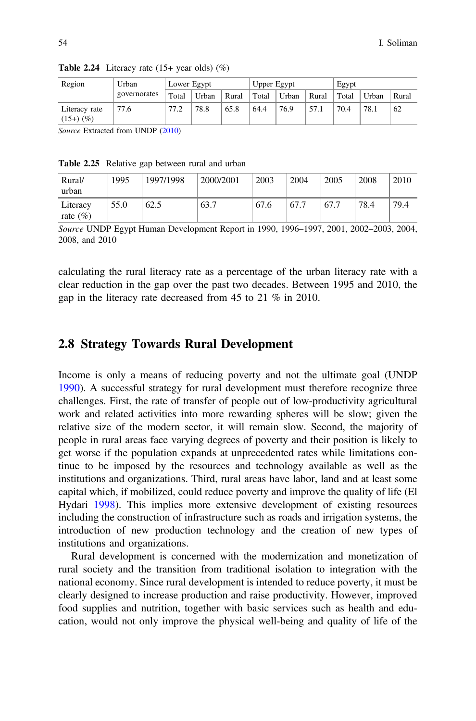| Region                          | Urban        | Lower Egypt |       | Upper Egypt |       |       | Egypt |       |       |       |
|---------------------------------|--------------|-------------|-------|-------------|-------|-------|-------|-------|-------|-------|
|                                 | governorates | Total       | Urban | Rural       | Total | Urban | Rural | Total | Urban | Rural |
| Literacy rate<br>$(15+)$ $(\%)$ | 77.6         | 77.2        | 78.8  | 65.8        | 64.4  | 76.9  | 57.1  | 70.4  | 78.1  | 62    |

<span id="page-36-0"></span>**Table 2.24** Literacy rate  $(15+)$  year olds)  $(\%)$ 

*Source* Extracted from UNDP ([2010\)](#page-46-0)

Table 2.25 Relative gap between rural and urban

| Rural/                   | 1995 | 1997/1998 | 2000/2001 | 2003 | 2004 | 2005 | 2008 | 2010 |
|--------------------------|------|-----------|-----------|------|------|------|------|------|
| urban                    |      |           |           |      |      |      |      |      |
| Literacy<br>rate $(\% )$ | 55.0 | 62.5      | 63.7      | 67.6 | 67.7 | 67.7 | 78.4 | 79.4 |

*Source* UNDP Egypt Human Development Report in 1990, 1996–1997, 2001, 2002–2003, 2004, 2008, and 2010

calculating the rural literacy rate as a percentage of the urban literacy rate with a clear reduction in the gap over the past two decades. Between 1995 and 2010, the gap in the literacy rate decreased from 45 to 21 % in 2010.

#### 2.8 Strategy Towards Rural Development

Income is only a means of reducing poverty and not the ultimate goal (UNDP [1990\)](#page-46-0). A successful strategy for rural development must therefore recognize three challenges. First, the rate of transfer of people out of low-productivity agricultural work and related activities into more rewarding spheres will be slow; given the relative size of the modern sector, it will remain slow. Second, the majority of people in rural areas face varying degrees of poverty and their position is likely to get worse if the population expands at unprecedented rates while limitations continue to be imposed by the resources and technology available as well as the institutions and organizations. Third, rural areas have labor, land and at least some capital which, if mobilized, could reduce poverty and improve the quality of life (El Hydari [1998](#page-44-0)). This implies more extensive development of existing resources including the construction of infrastructure such as roads and irrigation systems, the introduction of new production technology and the creation of new types of institutions and organizations.

Rural development is concerned with the modernization and monetization of rural society and the transition from traditional isolation to integration with the national economy. Since rural development is intended to reduce poverty, it must be clearly designed to increase production and raise productivity. However, improved food supplies and nutrition, together with basic services such as health and education, would not only improve the physical well-being and quality of life of the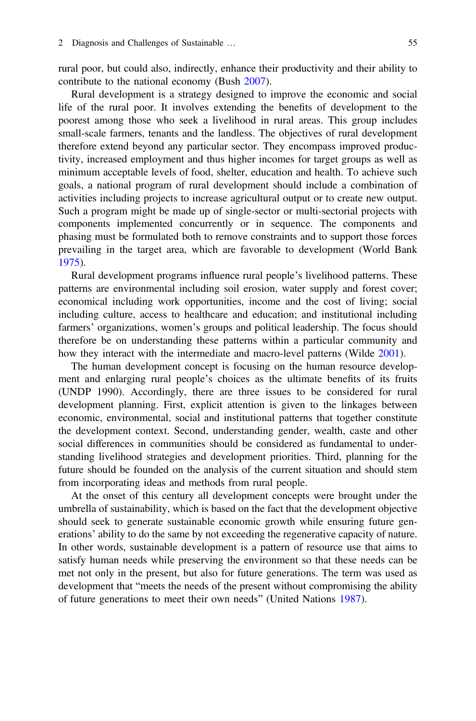rural poor, but could also, indirectly, enhance their productivity and their ability to contribute to the national economy (Bush [2007](#page-43-0)).

Rural development is a strategy designed to improve the economic and social life of the rural poor. It involves extending the benefits of development to the poorest among those who seek a livelihood in rural areas. This group includes small-scale farmers, tenants and the landless. The objectives of rural development therefore extend beyond any particular sector. They encompass improved productivity, increased employment and thus higher incomes for target groups as well as minimum acceptable levels of food, shelter, education and health. To achieve such goals, a national program of rural development should include a combination of activities including projects to increase agricultural output or to create new output. Such a program might be made up of single-sector or multi-sectorial projects with components implemented concurrently or in sequence. The components and phasing must be formulated both to remove constraints and to support those forces prevailing in the target area, which are favorable to development (World Bank [1975\)](#page-46-0).

Rural development programs influence rural people's livelihood patterns. These patterns are environmental including soil erosion, water supply and forest cover; economical including work opportunities, income and the cost of living; social including culture, access to healthcare and education; and institutional including farmers' organizations, women's groups and political leadership. The focus should therefore be on understanding these patterns within a particular community and how they interact with the intermediate and macro-level patterns (Wilde [2001](#page-46-0)).

The human development concept is focusing on the human resource development and enlarging rural people's choices as the ultimate benefits of its fruits (UNDP 1990). Accordingly, there are three issues to be considered for rural development planning. First, explicit attention is given to the linkages between economic, environmental, social and institutional patterns that together constitute the development context. Second, understanding gender, wealth, caste and other social differences in communities should be considered as fundamental to understanding livelihood strategies and development priorities. Third, planning for the future should be founded on the analysis of the current situation and should stem from incorporating ideas and methods from rural people.

At the onset of this century all development concepts were brought under the umbrella of sustainability, which is based on the fact that the development objective should seek to generate sustainable economic growth while ensuring future generations' ability to do the same by not exceeding the regenerative capacity of nature. In other words, sustainable development is a pattern of resource use that aims to satisfy human needs while preserving the environment so that these needs can be met not only in the present, but also for future generations. The term was used as development that "meets the needs of the present without compromising the ability of future generations to meet their own needs" (United Nations [1987](#page-46-0)).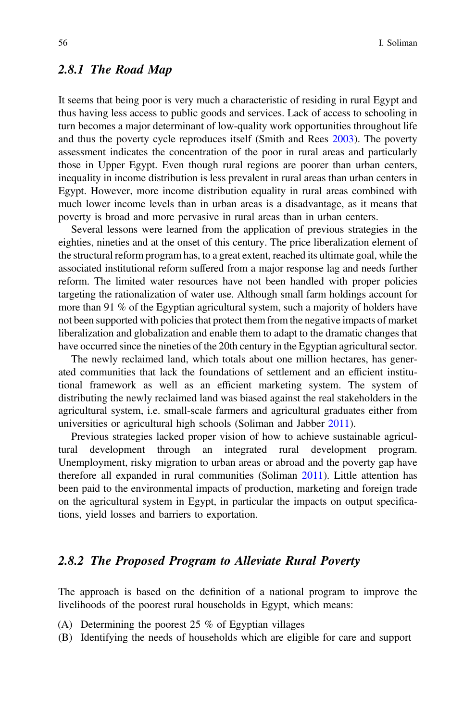## 2.8.1 The Road Map

It seems that being poor is very much a characteristic of residing in rural Egypt and thus having less access to public goods and services. Lack of access to schooling in turn becomes a major determinant of low-quality work opportunities throughout life and thus the poverty cycle reproduces itself (Smith and Rees [2003](#page-45-0)). The poverty assessment indicates the concentration of the poor in rural areas and particularly those in Upper Egypt. Even though rural regions are poorer than urban centers, inequality in income distribution is less prevalent in rural areas than urban centers in Egypt. However, more income distribution equality in rural areas combined with much lower income levels than in urban areas is a disadvantage, as it means that poverty is broad and more pervasive in rural areas than in urban centers.

Several lessons were learned from the application of previous strategies in the eighties, nineties and at the onset of this century. The price liberalization element of the structural reform program has, to a great extent, reached its ultimate goal, while the associated institutional reform suffered from a major response lag and needs further reform. The limited water resources have not been handled with proper policies targeting the rationalization of water use. Although small farm holdings account for more than 91 % of the Egyptian agricultural system, such a majority of holders have not been supported with policies that protect them from the negative impacts of market liberalization and globalization and enable them to adapt to the dramatic changes that have occurred since the nineties of the 20th century in the Egyptian agricultural sector.

The newly reclaimed land, which totals about one million hectares, has generated communities that lack the foundations of settlement and an efficient institutional framework as well as an efficient marketing system. The system of distributing the newly reclaimed land was biased against the real stakeholders in the agricultural system, i.e. small-scale farmers and agricultural graduates either from universities or agricultural high schools (Soliman and Jabber [2011](#page-45-0)).

Previous strategies lacked proper vision of how to achieve sustainable agricultural development through an integrated rural development program. Unemployment, risky migration to urban areas or abroad and the poverty gap have therefore all expanded in rural communities (Soliman [2011\)](#page-45-0). Little attention has been paid to the environmental impacts of production, marketing and foreign trade on the agricultural system in Egypt, in particular the impacts on output specifications, yield losses and barriers to exportation.

## 2.8.2 The Proposed Program to Alleviate Rural Poverty

The approach is based on the definition of a national program to improve the livelihoods of the poorest rural households in Egypt, which means:

- (A) Determining the poorest 25 % of Egyptian villages
- (B) Identifying the needs of households which are eligible for care and support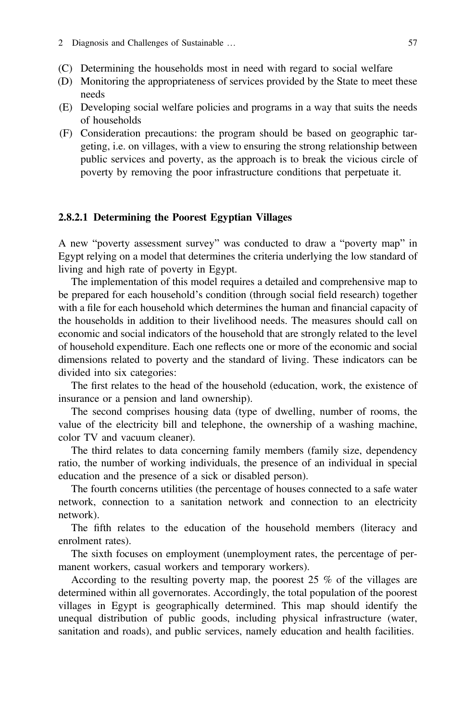- 2 Diagnosis and Challenges of Sustainable … 57
- (C) Determining the households most in need with regard to social welfare
- (D) Monitoring the appropriateness of services provided by the State to meet these needs
- (E) Developing social welfare policies and programs in a way that suits the needs of households
- (F) Consideration precautions: the program should be based on geographic targeting, i.e. on villages, with a view to ensuring the strong relationship between public services and poverty, as the approach is to break the vicious circle of poverty by removing the poor infrastructure conditions that perpetuate it.

#### 2.8.2.1 Determining the Poorest Egyptian Villages

A new "poverty assessment survey" was conducted to draw a "poverty map" in Egypt relying on a model that determines the criteria underlying the low standard of living and high rate of poverty in Egypt.

The implementation of this model requires a detailed and comprehensive map to be prepared for each household's condition (through social field research) together with a file for each household which determines the human and financial capacity of the households in addition to their livelihood needs. The measures should call on economic and social indicators of the household that are strongly related to the level of household expenditure. Each one reflects one or more of the economic and social dimensions related to poverty and the standard of living. These indicators can be divided into six categories:

The first relates to the head of the household (education, work, the existence of insurance or a pension and land ownership).

The second comprises housing data (type of dwelling, number of rooms, the value of the electricity bill and telephone, the ownership of a washing machine, color TV and vacuum cleaner).

The third relates to data concerning family members (family size, dependency ratio, the number of working individuals, the presence of an individual in special education and the presence of a sick or disabled person).

The fourth concerns utilities (the percentage of houses connected to a safe water network, connection to a sanitation network and connection to an electricity network).

The fifth relates to the education of the household members (literacy and enrolment rates).

The sixth focuses on employment (unemployment rates, the percentage of permanent workers, casual workers and temporary workers).

According to the resulting poverty map, the poorest 25 % of the villages are determined within all governorates. Accordingly, the total population of the poorest villages in Egypt is geographically determined. This map should identify the unequal distribution of public goods, including physical infrastructure (water, sanitation and roads), and public services, namely education and health facilities.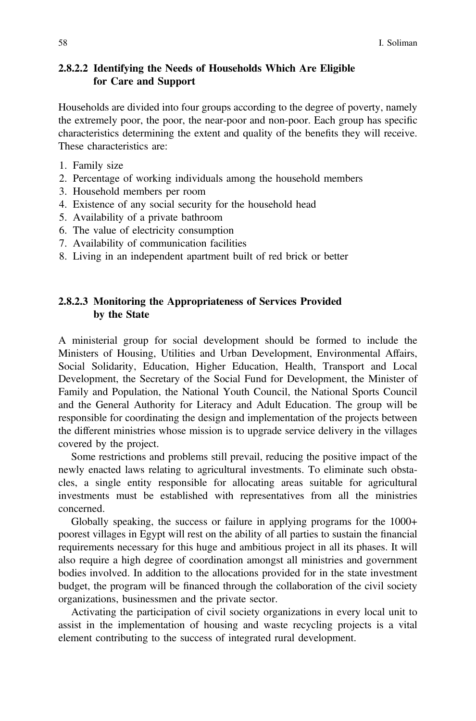## 2.8.2.2 Identifying the Needs of Households Which Are Eligible for Care and Support

Households are divided into four groups according to the degree of poverty, namely the extremely poor, the poor, the near-poor and non-poor. Each group has specific characteristics determining the extent and quality of the benefits they will receive. These characteristics are:

- 1. Family size
- 2. Percentage of working individuals among the household members
- 3. Household members per room
- 4. Existence of any social security for the household head
- 5. Availability of a private bathroom
- 6. The value of electricity consumption
- 7. Availability of communication facilities
- 8. Living in an independent apartment built of red brick or better

## 2.8.2.3 Monitoring the Appropriateness of Services Provided by the State

A ministerial group for social development should be formed to include the Ministers of Housing, Utilities and Urban Development, Environmental Affairs, Social Solidarity, Education, Higher Education, Health, Transport and Local Development, the Secretary of the Social Fund for Development, the Minister of Family and Population, the National Youth Council, the National Sports Council and the General Authority for Literacy and Adult Education. The group will be responsible for coordinating the design and implementation of the projects between the different ministries whose mission is to upgrade service delivery in the villages covered by the project.

Some restrictions and problems still prevail, reducing the positive impact of the newly enacted laws relating to agricultural investments. To eliminate such obstacles, a single entity responsible for allocating areas suitable for agricultural investments must be established with representatives from all the ministries concerned.

Globally speaking, the success or failure in applying programs for the 1000+ poorest villages in Egypt will rest on the ability of all parties to sustain the financial requirements necessary for this huge and ambitious project in all its phases. It will also require a high degree of coordination amongst all ministries and government bodies involved. In addition to the allocations provided for in the state investment budget, the program will be financed through the collaboration of the civil society organizations, businessmen and the private sector.

Activating the participation of civil society organizations in every local unit to assist in the implementation of housing and waste recycling projects is a vital element contributing to the success of integrated rural development.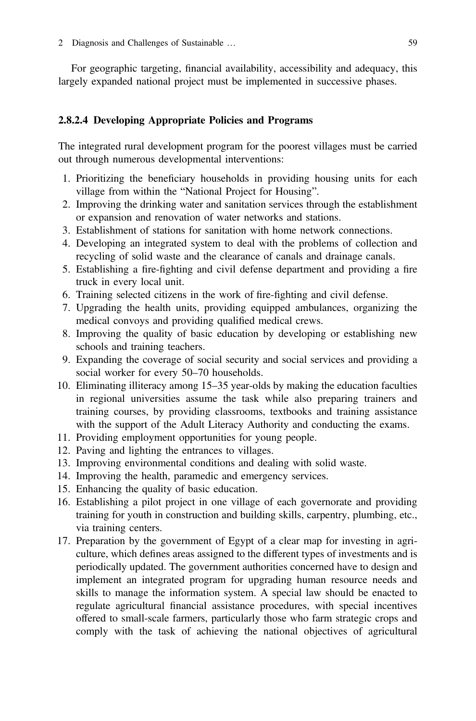For geographic targeting, financial availability, accessibility and adequacy, this largely expanded national project must be implemented in successive phases.

#### 2.8.2.4 Developing Appropriate Policies and Programs

The integrated rural development program for the poorest villages must be carried out through numerous developmental interventions:

- 1. Prioritizing the beneficiary households in providing housing units for each village from within the "National Project for Housing".
- 2. Improving the drinking water and sanitation services through the establishment or expansion and renovation of water networks and stations.
- 3. Establishment of stations for sanitation with home network connections.
- 4. Developing an integrated system to deal with the problems of collection and recycling of solid waste and the clearance of canals and drainage canals.
- 5. Establishing a fire-fighting and civil defense department and providing a fire truck in every local unit.
- 6. Training selected citizens in the work of fire-fighting and civil defense.
- 7. Upgrading the health units, providing equipped ambulances, organizing the medical convoys and providing qualified medical crews.
- 8. Improving the quality of basic education by developing or establishing new schools and training teachers.
- 9. Expanding the coverage of social security and social services and providing a social worker for every 50–70 households.
- 10. Eliminating illiteracy among 15–35 year-olds by making the education faculties in regional universities assume the task while also preparing trainers and training courses, by providing classrooms, textbooks and training assistance with the support of the Adult Literacy Authority and conducting the exams.
- 11. Providing employment opportunities for young people.
- 12. Paving and lighting the entrances to villages.
- 13. Improving environmental conditions and dealing with solid waste.
- 14. Improving the health, paramedic and emergency services.
- 15. Enhancing the quality of basic education.
- 16. Establishing a pilot project in one village of each governorate and providing training for youth in construction and building skills, carpentry, plumbing, etc., via training centers.
- 17. Preparation by the government of Egypt of a clear map for investing in agriculture, which defines areas assigned to the different types of investments and is periodically updated. The government authorities concerned have to design and implement an integrated program for upgrading human resource needs and skills to manage the information system. A special law should be enacted to regulate agricultural financial assistance procedures, with special incentives offered to small-scale farmers, particularly those who farm strategic crops and comply with the task of achieving the national objectives of agricultural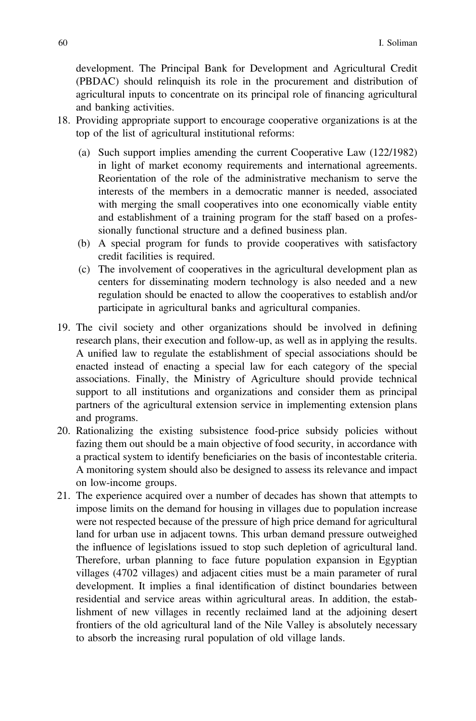development. The Principal Bank for Development and Agricultural Credit (PBDAC) should relinquish its role in the procurement and distribution of agricultural inputs to concentrate on its principal role of financing agricultural and banking activities.

- 18. Providing appropriate support to encourage cooperative organizations is at the top of the list of agricultural institutional reforms:
	- (a) Such support implies amending the current Cooperative Law (122/1982) in light of market economy requirements and international agreements. Reorientation of the role of the administrative mechanism to serve the interests of the members in a democratic manner is needed, associated with merging the small cooperatives into one economically viable entity and establishment of a training program for the staff based on a professionally functional structure and a defined business plan.
	- (b) A special program for funds to provide cooperatives with satisfactory credit facilities is required.
	- (c) The involvement of cooperatives in the agricultural development plan as centers for disseminating modern technology is also needed and a new regulation should be enacted to allow the cooperatives to establish and/or participate in agricultural banks and agricultural companies.
- 19. The civil society and other organizations should be involved in defining research plans, their execution and follow-up, as well as in applying the results. A unified law to regulate the establishment of special associations should be enacted instead of enacting a special law for each category of the special associations. Finally, the Ministry of Agriculture should provide technical support to all institutions and organizations and consider them as principal partners of the agricultural extension service in implementing extension plans and programs.
- 20. Rationalizing the existing subsistence food-price subsidy policies without fazing them out should be a main objective of food security, in accordance with a practical system to identify beneficiaries on the basis of incontestable criteria. A monitoring system should also be designed to assess its relevance and impact on low-income groups.
- 21. The experience acquired over a number of decades has shown that attempts to impose limits on the demand for housing in villages due to population increase were not respected because of the pressure of high price demand for agricultural land for urban use in adjacent towns. This urban demand pressure outweighed the influence of legislations issued to stop such depletion of agricultural land. Therefore, urban planning to face future population expansion in Egyptian villages (4702 villages) and adjacent cities must be a main parameter of rural development. It implies a final identification of distinct boundaries between residential and service areas within agricultural areas. In addition, the establishment of new villages in recently reclaimed land at the adjoining desert frontiers of the old agricultural land of the Nile Valley is absolutely necessary to absorb the increasing rural population of old village lands.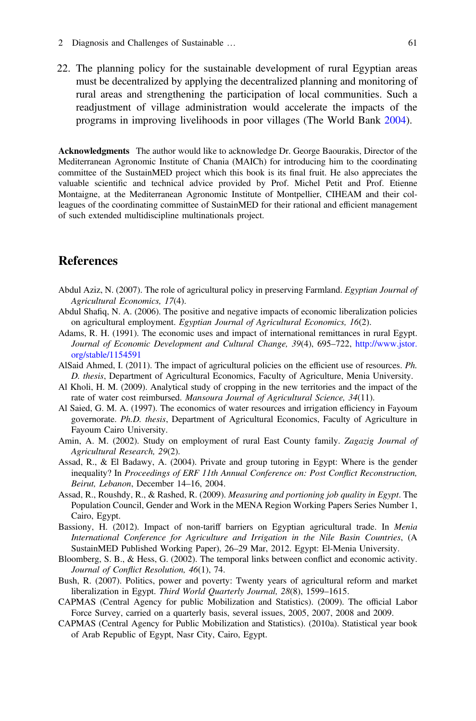<span id="page-43-0"></span>22. The planning policy for the sustainable development of rural Egyptian areas must be decentralized by applying the decentralized planning and monitoring of rural areas and strengthening the participation of local communities. Such a readjustment of village administration would accelerate the impacts of the programs in improving livelihoods in poor villages (The World Bank [2004](#page-46-0)).

Acknowledgments The author would like to acknowledge Dr. George Baourakis, Director of the Mediterranean Agronomic Institute of Chania (MAICh) for introducing him to the coordinating committee of the SustainMED project which this book is its final fruit. He also appreciates the valuable scientific and technical advice provided by Prof. Michel Petit and Prof. Etienne Montaigne, at the Mediterranean Agronomic Institute of Montpellier, CIHEAM and their colleagues of the coordinating committee of SustainMED for their rational and efficient management of such extended multidiscipline multinationals project.

## References

- Abdul Aziz, N. (2007). The role of agricultural policy in preserving Farmland. *Egyptian Journal of Agricultural Economics, 17*(4).
- Abdul Shafiq, N. A. (2006). The positive and negative impacts of economic liberalization policies on agricultural employment. *Egyptian Journal of Agricultural Economics, 16*(2).
- Adams, R. H. (1991). The economic uses and impact of international remittances in rural Egypt. *Journal of Economic Development and Cultural Change, 39*(4), 695–722, [http://www.jstor.](http://www.jstor.org/stable/1154591) [org/stable/1154591](http://www.jstor.org/stable/1154591)
- AlSaid Ahmed, I. (2011). The impact of agricultural policies on the efficient use of resources. *Ph. D. thesis*, Department of Agricultural Economics, Faculty of Agriculture, Menia University.
- Al Kholi, H. M. (2009). Analytical study of cropping in the new territories and the impact of the rate of water cost reimbursed. *Mansoura Journal of Agricultural Science, 34*(11).
- Al Saied, G. M. A. (1997). The economics of water resources and irrigation efficiency in Fayoum governorate. *Ph.D. thesis*, Department of Agricultural Economics, Faculty of Agriculture in Fayoum Cairo University.
- Amin, A. M. (2002). Study on employment of rural East County family. *Zagazig Journal of Agricultural Research, 29*(2).
- Assad, R., & El Badawy, A. (2004). Private and group tutoring in Egypt: Where is the gender inequality? In *Proceedings of ERF 11th Annual Conference on: Post Con*fl*ict Reconstruction, Beirut, Lebanon*, December 14–16, 2004.
- Assad, R., Roushdy, R., & Rashed, R. (2009). *Measuring and portioning job quality in Egypt*. The Population Council, Gender and Work in the MENA Region Working Papers Series Number 1, Cairo, Egypt.
- Bassiony, H. (2012). Impact of non-tariff barriers on Egyptian agricultural trade. In *Menia International Conference for Agriculture and Irrigation in the Nile Basin Countries*, (A SustainMED Published Working Paper), 26–29 Mar, 2012. Egypt: El-Menia University.
- Bloomberg, S. B., & Hess, G. (2002). The temporal links between conflict and economic activity. *Journal of Con*fl*ict Resolution, 46*(1), 74.
- Bush, R. (2007). Politics, power and poverty: Twenty years of agricultural reform and market liberalization in Egypt. *Third World Quarterly Journal, 28*(8), 1599–1615.
- CAPMAS (Central Agency for public Mobilization and Statistics). (2009). The official Labor Force Survey, carried on a quarterly basis, several issues, 2005, 2007, 2008 and 2009.
- CAPMAS (Central Agency for Public Mobilization and Statistics). (2010a). Statistical year book of Arab Republic of Egypt, Nasr City, Cairo, Egypt.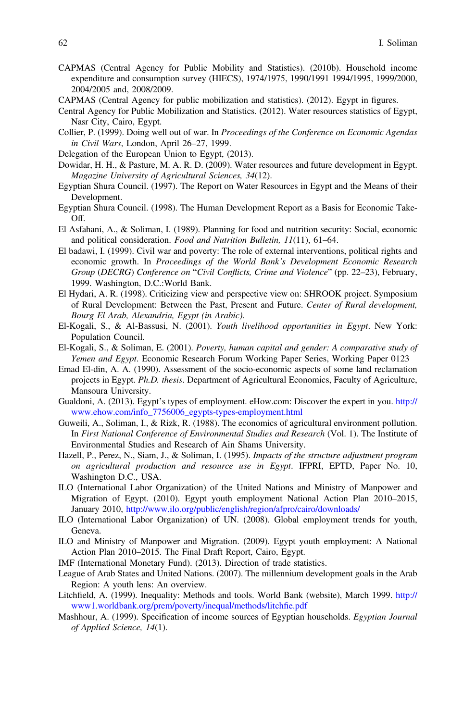- <span id="page-44-0"></span>CAPMAS (Central Agency for Public Mobility and Statistics). (2010b). Household income expenditure and consumption survey (HIECS), 1974/1975, 1990/1991 1994/1995, 1999/2000, 2004/2005 and, 2008/2009.
- CAPMAS (Central Agency for public mobilization and statistics). (2012). Egypt in figures.
- Central Agency for Public Mobilization and Statistics. (2012). Water resources statistics of Egypt, Nasr City, Cairo, Egypt.
- Collier, P. (1999). Doing well out of war. In *Proceedings of the Conference on Economic Agendas in Civil Wars*, London, April 26–27, 1999.
- Delegation of the European Union to Egypt, (2013).
- Dowidar, H. H., & Pasture, M. A. R. D. (2009). Water resources and future development in Egypt. *Magazine University of Agricultural Sciences, 34*(12).
- Egyptian Shura Council. (1997). The Report on Water Resources in Egypt and the Means of their Development.
- Egyptian Shura Council. (1998). The Human Development Report as a Basis for Economic Take-Off.
- El Asfahani, A., & Soliman, I. (1989). Planning for food and nutrition security: Social, economic and political consideration. *Food and Nutrition Bulletin, 11*(11), 61–64.
- El badawi, I. (1999). Civil war and poverty: The role of external interventions, political rights and economic growth. In *Proceedings of the World Bank*'*s Development Economic Research Group* (*DECRG*) *Conference on* "*Civil Con*fl*icts, Crime and Violence*" (pp. 22–23), February, 1999. Washington, D.C.:World Bank.
- El Hydari, A. R. (1998). Criticizing view and perspective view on: SHROOK project. Symposium of Rural Development: Between the Past, Present and Future. *Center of Rural development, Bourg El Arab, Alexandria, Egypt (in Arabic)*.
- El-Kogali, S., & Al-Bassusi, N. (2001). *Youth livelihood opportunities in Egypt*. New York: Population Council.
- El-Kogali, S., & Soliman, E. (2001). *Poverty, human capital and gender: A comparative study of Yemen and Egypt*. Economic Research Forum Working Paper Series, Working Paper 0123
- Emad El-din, A. A. (1990). Assessment of the socio-economic aspects of some land reclamation projects in Egypt. *Ph.D. thesis*. Department of Agricultural Economics, Faculty of Agriculture, Mansoura University.
- Gualdoni, A. (2013). Egypt's types of employment. eHow.com: Discover the expert in you. [http://](http://www.ehow.com/info_7756006_egypts-types-employment.html) [www.ehow.com/info\\_7756006\\_egypts-types-employment.html](http://www.ehow.com/info_7756006_egypts-types-employment.html)
- Guweili, A., Soliman, I., & Rizk, R. (1988). The economics of agricultural environment pollution. In *First National Conference of Environmental Studies and Research* (Vol. 1). The Institute of Environmental Studies and Research of Ain Shams University.
- Hazell, P., Perez, N., Siam, J., & Soliman, I. (1995). *Impacts of the structure adjustment program on agricultural production and resource use in Egypt*. IFPRI, EPTD, Paper No. 10, Washington D.C., USA.
- ILO (International Labor Organization) of the United Nations and Ministry of Manpower and Migration of Egypt. (2010). Egypt youth employment National Action Plan 2010–2015, January 2010, <http://www.ilo.org/public/english/region/afpro/cairo/downloads/>
- ILO (International Labor Organization) of UN. (2008). Global employment trends for youth, Geneva.
- ILO and Ministry of Manpower and Migration. (2009). Egypt youth employment: A National Action Plan 2010–2015. The Final Draft Report, Cairo, Egypt.
- IMF (International Monetary Fund). (2013). Direction of trade statistics.
- League of Arab States and United Nations. (2007). The millennium development goals in the Arab Region: A youth lens: An overview.
- Litchfield, A. (1999). Inequality: Methods and tools. World Bank (website), March 1999. [http://](http://www1.worldbank.org/prem/poverty/inequal/methods/litchfie.pdf) [www1.worldbank.org/prem/poverty/inequal/methods/litch](http://www1.worldbank.org/prem/poverty/inequal/methods/litchfie.pdf)fie.pdf
- Mashhour, A. (1999). Specification of income sources of Egyptian households. *Egyptian Journal of Applied Science, 14*(1).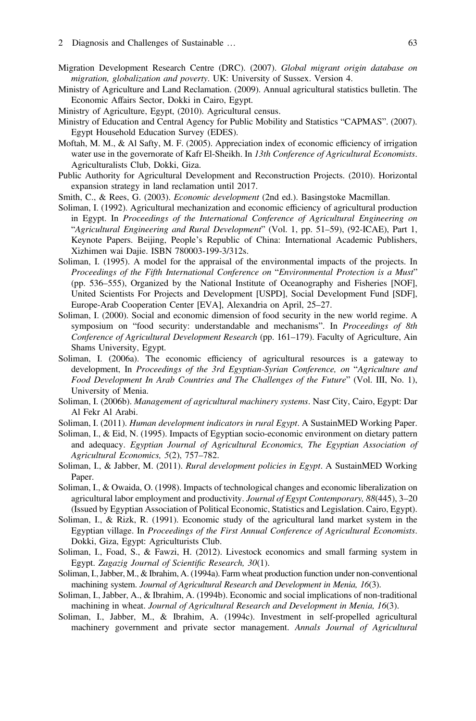- <span id="page-45-0"></span>Migration Development Research Centre (DRC). (2007). *Global migrant origin database on migration, globalization and poverty*. UK: University of Sussex. Version 4.
- Ministry of Agriculture and Land Reclamation. (2009). Annual agricultural statistics bulletin. The Economic Affairs Sector, Dokki in Cairo, Egypt.
- Ministry of Agriculture, Egypt, (2010). Agricultural census.
- Ministry of Education and Central Agency for Public Mobility and Statistics "CAPMAS". (2007). Egypt Household Education Survey (EDES).
- Moftah, M. M., & Al Safty, M. F. (2005). Appreciation index of economic efficiency of irrigation water use in the governorate of Kafr El-Sheikh. In *13th Conference of Agricultural Economists*. Agriculturalists Club, Dokki, Giza.
- Public Authority for Agricultural Development and Reconstruction Projects. (2010). Horizontal expansion strategy in land reclamation until 2017.
- Smith, C., & Rees, G. (2003). *Economic development* (2nd ed.). Basingstoke Macmillan.
- Soliman, I. (1992). Agricultural mechanization and economic efficiency of agricultural production in Egypt. In *Proceedings of the International Conference of Agricultural Engineering on* "*Agricultural Engineering and Rural Development*" (Vol. 1, pp. 51–59), (92-ICAE), Part 1, Keynote Papers. Beijing, People's Republic of China: International Academic Publishers, Xizhimen wai Dajie. ISBN 780003-199-3/312s.
- Soliman, I. (1995). A model for the appraisal of the environmental impacts of the projects. In *Proceedings of the Fifth International Conference on* "*Environmental Protection is a Must*" (pp. 536–555), Organized by the National Institute of Oceanography and Fisheries [NOF], United Scientists For Projects and Development [USPD], Social Development Fund [SDF], Europe-Arab Cooperation Center [EVA], Alexandria on April, 25–27.
- Soliman, I. (2000). Social and economic dimension of food security in the new world regime. A symposium on "food security: understandable and mechanisms". In *Proceedings of 8th Conference of Agricultural Development Research* (pp. 161–179). Faculty of Agriculture, Ain Shams University, Egypt.
- Soliman, I. (2006a). The economic efficiency of agricultural resources is a gateway to development, In *Proceedings of the 3rd Egyptian-Syrian Conference, on* "*Agriculture and Food Development In Arab Countries and The Challenges of the Future*" (Vol. III, No. 1), University of Menia.
- Soliman, I. (2006b). *Management of agricultural machinery systems*. Nasr City, Cairo, Egypt: Dar Al Fekr Al Arabi.
- Soliman, I. (2011). *Human development indicators in rural Egypt*. A SustainMED Working Paper.
- Soliman, I., & Eid, N. (1995). Impacts of Egyptian socio-economic environment on dietary pattern and adequacy. *Egyptian Journal of Agricultural Economics, The Egyptian Association of Agricultural Economics, 5*(2), 757–782.
- Soliman, I., & Jabber, M. (2011). *Rural development policies in Egypt*. A SustainMED Working Paper.
- Soliman, I., & Owaida, O. (1998). Impacts of technological changes and economic liberalization on agricultural labor employment and productivity. *Journal of Egypt Contemporary, 88*(445), 3–20 (Issued by Egyptian Association of Political Economic, Statistics and Legislation. Cairo, Egypt).
- Soliman, I., & Rizk, R. (1991). Economic study of the agricultural land market system in the Egyptian village. In *Proceedings of the First Annual Conference of Agricultural Economists*. Dokki, Giza, Egypt: Agriculturists Club.
- Soliman, I., Foad, S., & Fawzi, H. (2012). Livestock economics and small farming system in Egypt. *Zagazig Journal of Scienti*fi*c Research, 30*(1).
- Soliman, I., Jabber, M., & Ibrahim, A. (1994a). Farm wheat production function under non-conventional machining system. *Journal of Agricultural Research and Development in Menia, 16*(3).
- Soliman, I., Jabber, A., & Ibrahim, A. (1994b). Economic and social implications of non-traditional machining in wheat. *Journal of Agricultural Research and Development in Menia, 16*(3).
- Soliman, I., Jabber, M., & Ibrahim, A. (1994c). Investment in self-propelled agricultural machinery government and private sector management. *Annals Journal of Agricultural*